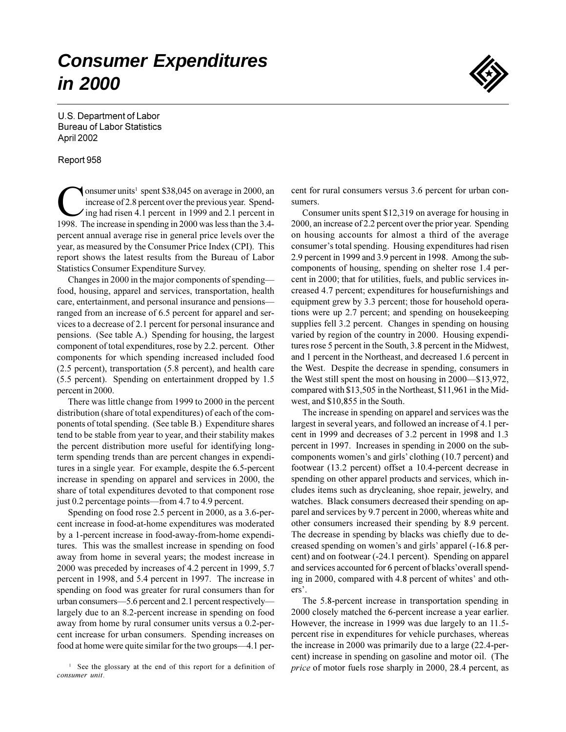# **Consumer Expenditures** in 2000



U.S. Department of Labor **Bureau of Labor Statistics** April 2002

#### Report 958

onsumer units<sup>1</sup> spent \$38,045 on average in 2000, an increase of 2.8 percent over the previous year. Spending had risen 4.1 percent in 1999 and 2.1 percent in 1998. The increase in spending in 2000 was less than the 3.4percent annual average rise in general price levels over the year, as measured by the Consumer Price Index (CPI). This report shows the latest results from the Bureau of Labor Statistics Consumer Expenditure Survey.

Changes in 2000 in the major components of spending food, housing, apparel and services, transportation, health care, entertainment, and personal insurance and pensionsranged from an increase of 6.5 percent for apparel and services to a decrease of 2.1 percent for personal insurance and pensions. (See table A.) Spending for housing, the largest component of total expenditures, rose by 2.2. percent. Other components for which spending increased included food  $(2.5$  percent), transportation  $(5.8$  percent), and health care (5.5 percent). Spending on entertainment dropped by 1.5 percent in 2000.

There was little change from 1999 to 2000 in the percent distribution (share of total expenditures) of each of the components of total spending. (See table B.) Expenditure shares tend to be stable from year to year, and their stability makes the percent distribution more useful for identifying longterm spending trends than are percent changes in expenditures in a single year. For example, despite the 6.5-percent increase in spending on apparel and services in 2000, the share of total expenditures devoted to that component rose just 0.2 percentage points—from 4.7 to 4.9 percent.

Spending on food rose 2.5 percent in 2000, as a 3.6-percent increase in food-at-home expenditures was moderated by a 1-percent increase in food-away-from-home expenditures. This was the smallest increase in spending on food away from home in several years; the modest increase in 2000 was preceded by increases of 4.2 percent in 1999, 5.7 percent in 1998, and 5.4 percent in 1997. The increase in spending on food was greater for rural consumers than for urban consumers—5.6 percent and 2.1 percent respectively largely due to an 8.2-percent increase in spending on food away from home by rural consumer units versus a 0.2-percent increase for urban consumers. Spending increases on food at home were quite similar for the two groups—4.1 percent for rural consumers versus 3.6 percent for urban consumers.

Consumer units spent \$12,319 on average for housing in 2000, an increase of 2.2 percent over the prior year. Spending on housing accounts for almost a third of the average consumer's total spending. Housing expenditures had risen 2.9 percent in 1999 and 3.9 percent in 1998. Among the subcomponents of housing, spending on shelter rose 1.4 percent in 2000; that for utilities, fuels, and public services increased 4.7 percent; expenditures for housefurnishings and equipment grew by 3.3 percent; those for household operations were up 2.7 percent; and spending on housekeeping supplies fell 3.2 percent. Changes in spending on housing varied by region of the country in 2000. Housing expenditures rose 5 percent in the South, 3.8 percent in the Midwest, and 1 percent in the Northeast, and decreased 1.6 percent in the West. Despite the decrease in spending, consumers in the West still spent the most on housing in 2000—\$13,972, compared with \$13,505 in the Northeast, \$11,961 in the Midwest, and \$10,855 in the South.

The increase in spending on apparel and services was the largest in several years, and followed an increase of 4.1 percent in 1999 and decreases of 3.2 percent in 1998 and 1.3 percent in 1997. Increases in spending in 2000 on the subcomponents women's and girls' clothing (10.7 percent) and footwear (13.2 percent) offset a 10.4-percent decrease in spending on other apparel products and services, which includes items such as drycleaning, shoe repair, jewelry, and watches. Black consumers decreased their spending on apparel and services by 9.7 percent in 2000, whereas white and other consumers increased their spending by 8.9 percent. The decrease in spending by blacks was chiefly due to decreased spending on women's and girls' apparel (-16.8 percent) and on footwear (-24.1 percent). Spending on apparel and services accounted for 6 percent of blacks' overall spending in 2000, compared with 4.8 percent of whites' and others'.

The 5.8-percent increase in transportation spending in 2000 closely matched the 6-percent increase a year earlier. However, the increase in 1999 was due largely to an 11.5percent rise in expenditures for vehicle purchases, whereas the increase in 2000 was primarily due to a large (22.4-percent) increase in spending on gasoline and motor oil. (The *price* of motor fuels rose sharply in 2000, 28.4 percent, as

<sup>&</sup>lt;sup>1</sup> See the glossary at the end of this report for a definition of consumer unit.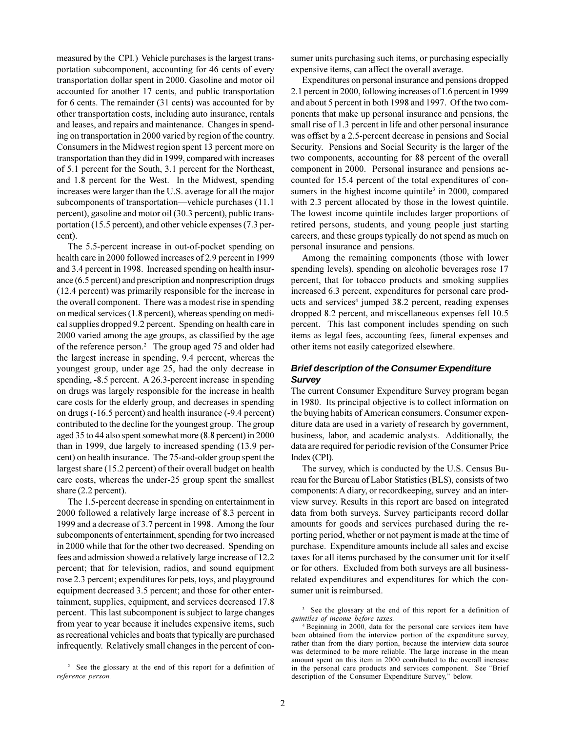measured by the CPI.) Vehicle purchases is the largest transportation subcomponent, accounting for 46 cents of every transportation dollar spent in 2000. Gasoline and motor oil accounted for another 17 cents, and public transportation for 6 cents. The remainder (31 cents) was accounted for by other transportation costs, including auto insurance, rentals and leases, and repairs and maintenance. Changes in spending on transportation in 2000 varied by region of the country. Consumers in the Midwest region spent 13 percent more on transportation than they did in 1999, compared with increases of 5.1 percent for the South, 3.1 percent for the Northeast, and 1.8 percent for the West. In the Midwest, spending increases were larger than the U.S. average for all the major subcomponents of transportation—vehicle purchases (11.1) percent), gasoline and motor oil (30.3 percent), public transportation (15.5 percent), and other vehicle expenses (7.3 percent).

The 5.5-percent increase in out-of-pocket spending on health care in 2000 followed increases of 2.9 percent in 1999 and 3.4 percent in 1998. Increased spending on health insurance (6.5 percent) and prescription and nonprescription drugs (12.4 percent) was primarily responsible for the increase in the overall component. There was a modest rise in spending on medical services (1.8 percent), whereas spending on medical supplies dropped 9.2 percent. Spending on health care in 2000 varied among the age groups, as classified by the age of the reference person.<sup>2</sup> The group aged 75 and older had the largest increase in spending, 9.4 percent, whereas the youngest group, under age 25, had the only decrease in spending, -8.5 percent. A 26.3-percent increase in spending on drugs was largely responsible for the increase in health care costs for the elderly group, and decreases in spending on drugs (-16.5 percent) and health insurance (-9.4 percent) contributed to the decline for the youngest group. The group aged 35 to 44 also spent somewhat more (8.8 percent) in 2000 than in 1999, due largely to increased spending (13.9 percent) on health insurance. The 75-and-older group spent the largest share (15.2 percent) of their overall budget on health care costs, whereas the under-25 group spent the smallest share  $(2.2$  percent).

The 1.5-percent decrease in spending on entertainment in 2000 followed a relatively large increase of 8.3 percent in 1999 and a decrease of 3.7 percent in 1998. Among the four subcomponents of entertainment, spending for two increased in 2000 while that for the other two decreased. Spending on fees and admission showed a relatively large increase of 12.2 percent; that for television, radios, and sound equipment rose 2.3 percent; expenditures for pets, toys, and playground equipment decreased 3.5 percent; and those for other entertainment, supplies, equipment, and services decreased 17.8 percent. This last subcomponent is subject to large changes from year to year because it includes expensive items, such as recreational vehicles and boats that typically are purchased infrequently. Relatively small changes in the percent of con-

<sup>2</sup> See the glossary at the end of this report for a definition of reference person.

sumer units purchasing such items, or purchasing especially expensive items, can affect the overall average.

Expenditures on personal insurance and pensions dropped 2.1 percent in 2000, following increases of 1.6 percent in 1999 and about 5 percent in both 1998 and 1997. Of the two components that make up personal insurance and pensions, the small rise of 1.3 percent in life and other personal insurance was offset by a 2.5-percent decrease in pensions and Social Security. Pensions and Social Security is the larger of the two components, accounting for 88 percent of the overall component in 2000. Personal insurance and pensions accounted for 15.4 percent of the total expenditures of consumers in the highest income quintile<sup>3</sup> in 2000, compared with 2.3 percent allocated by those in the lowest quintile. The lowest income quintile includes larger proportions of retired persons, students, and young people just starting careers, and these groups typically do not spend as much on personal insurance and pensions.

Among the remaining components (those with lower spending levels), spending on alcoholic beverages rose 17 percent, that for tobacco products and smoking supplies increased 6.3 percent, expenditures for personal care products and services<sup>4</sup> jumped 38.2 percent, reading expenses dropped 8.2 percent, and miscellaneous expenses fell 10.5 percent. This last component includes spending on such items as legal fees, accounting fees, funeral expenses and other items not easily categorized elsewhere.

# **Brief description of the Consumer Expenditure Survey**

The current Consumer Expenditure Survey program began in 1980. Its principal objective is to collect information on the buying habits of American consumers. Consumer expenditure data are used in a variety of research by government, business, labor, and academic analysts. Additionally, the data are required for periodic revision of the Consumer Price Index (CPI).

The survey, which is conducted by the U.S. Census Bureau for the Bureau of Labor Statistics (BLS), consists of two components: A diary, or record keeping, survey and an interview survey. Results in this report are based on integrated data from both surveys. Survey participants record dollar amounts for goods and services purchased during the reporting period, whether or not payment is made at the time of purchase. Expenditure amounts include all sales and excise taxes for all items purchased by the consumer unit for itself or for others. Excluded from both surveys are all businessrelated expenditures and expenditures for which the consumer unit is reimbursed.

<sup>&</sup>lt;sup>3</sup> See the glossary at the end of this report for a definition of quintiles of income before taxes.

<sup>&</sup>lt;sup>4</sup> Beginning in 2000, data for the personal care services item have been obtained from the interview portion of the expenditure survey, rather than from the diary portion, because the interview data source was determined to be more reliable. The large increase in the mean amount spent on this item in 2000 contributed to the overall increase in the personal care products and services component. See "Brief" description of the Consumer Expenditure Survey," below.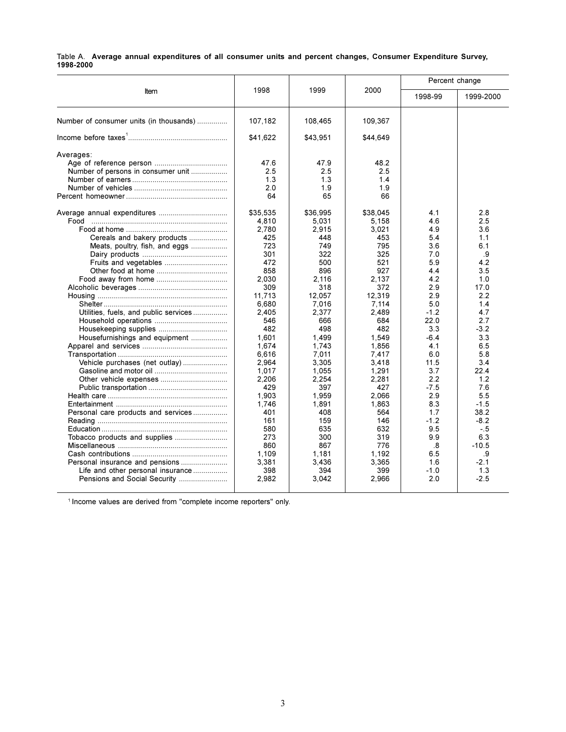|           |  | Table A. Average annual expenditures of all consumer units and percent changes, Consumer Expenditure Survey, |  |  |  |  |  |
|-----------|--|--------------------------------------------------------------------------------------------------------------|--|--|--|--|--|
| 1998-2000 |  |                                                                                                              |  |  |  |  |  |

|                                                                                                                                                                                                                                                                                                                                          |                                                                                                                                                                                                                                                                                                |                                                                                                                                                                                                                                                                                                |                                                                                                                                                                                                                                                                                                | Percent change                                                                                                                                                                                                                     |                                                                                                                                                                                                                                          |
|------------------------------------------------------------------------------------------------------------------------------------------------------------------------------------------------------------------------------------------------------------------------------------------------------------------------------------------|------------------------------------------------------------------------------------------------------------------------------------------------------------------------------------------------------------------------------------------------------------------------------------------------|------------------------------------------------------------------------------------------------------------------------------------------------------------------------------------------------------------------------------------------------------------------------------------------------|------------------------------------------------------------------------------------------------------------------------------------------------------------------------------------------------------------------------------------------------------------------------------------------------|------------------------------------------------------------------------------------------------------------------------------------------------------------------------------------------------------------------------------------|------------------------------------------------------------------------------------------------------------------------------------------------------------------------------------------------------------------------------------------|
| Item                                                                                                                                                                                                                                                                                                                                     | 1998                                                                                                                                                                                                                                                                                           | 1999                                                                                                                                                                                                                                                                                           | 2000                                                                                                                                                                                                                                                                                           | 1998-99                                                                                                                                                                                                                            | 1999-2000                                                                                                                                                                                                                                |
| Number of consumer units (in thousands)                                                                                                                                                                                                                                                                                                  | 107,182                                                                                                                                                                                                                                                                                        | 108,465                                                                                                                                                                                                                                                                                        | 109,367                                                                                                                                                                                                                                                                                        |                                                                                                                                                                                                                                    |                                                                                                                                                                                                                                          |
|                                                                                                                                                                                                                                                                                                                                          | \$41,622                                                                                                                                                                                                                                                                                       | \$43,951                                                                                                                                                                                                                                                                                       | \$44,649                                                                                                                                                                                                                                                                                       |                                                                                                                                                                                                                                    |                                                                                                                                                                                                                                          |
| Averages:<br>Number of persons in consumer unit<br>Food<br>Cereals and bakery products<br>Meats, poultry, fish, and eggs<br>Fruits and vegetables<br>Utilities, fuels, and public services<br>Housefurnishings and equipment<br>Vehicle purchases (net outlay)<br>Personal care products and services<br>Personal insurance and pensions | 47.6<br>2.5<br>1.3<br>2.0<br>64<br>\$35,535<br>4,810<br>2.780<br>425<br>723<br>301<br>472<br>858<br>2.030<br>309<br>11,713<br>6.680<br>2.405<br>546<br>482<br>1,601<br>1,674<br>6,616<br>2,964<br>1,017<br>2,206<br>429<br>1,903<br>1,746<br>401<br>161<br>580<br>273<br>860<br>1.109<br>3,381 | 47.9<br>2.5<br>1.3<br>1.9<br>65<br>\$36,995<br>5,031<br>2,915<br>448<br>749<br>322<br>500<br>896<br>2.116<br>318<br>12,057<br>7.016<br>2,377<br>666<br>498<br>1,499<br>1,743<br>7.011<br>3,305<br>1,055<br>2.254<br>397<br>1,959<br>1,891<br>408<br>159<br>635<br>300<br>867<br>1.181<br>3,436 | 48.2<br>2.5<br>1.4<br>1.9<br>66<br>\$38,045<br>5,158<br>3,021<br>453<br>795<br>325<br>521<br>927<br>2,137<br>372<br>12,319<br>7,114<br>2,489<br>684<br>482<br>1,549<br>1,856<br>7,417<br>3,418<br>1,291<br>2,281<br>427<br>2,066<br>1,863<br>564<br>146<br>632<br>319<br>776<br>1,192<br>3,365 | 4.1<br>4.6<br>4.9<br>5.4<br>3.6<br>7.0<br>5.9<br>4.4<br>4.2<br>2.9<br>2.9<br>5.0<br>$-1.2$<br>22.0<br>3.3<br>$-6.4$<br>4.1<br>6.0<br>11.5<br>3.7<br>2.2<br>$-7.5$<br>2.9<br>8.3<br>1.7<br>$-1.2$<br>9.5<br>9.9<br>.8<br>6.5<br>1.6 | 2.8<br>2.5<br>3.6<br>1.1<br>6.1<br>.9<br>4.2<br>3.5<br>1.0<br>17.0<br>2.2<br>1.4<br>4.7<br>2.7<br>$-3.2$<br>3.3<br>6.5<br>5.8<br>3.4<br>22.4<br>1.2<br>7.6<br>5.5<br>$-1.5$<br>38.2<br>$-8.2$<br>$-.5$<br>6.3<br>$-10.5$<br>.9<br>$-2.1$ |
| Life and other personal insurance<br>Pensions and Social Security                                                                                                                                                                                                                                                                        | 398<br>2,982                                                                                                                                                                                                                                                                                   | 394<br>3,042                                                                                                                                                                                                                                                                                   | 399<br>2,966                                                                                                                                                                                                                                                                                   | $-1.0$<br>2.0                                                                                                                                                                                                                      | 1.3<br>$-2.5$                                                                                                                                                                                                                            |

<sup>1</sup> Income values are derived from "complete income reporters" only.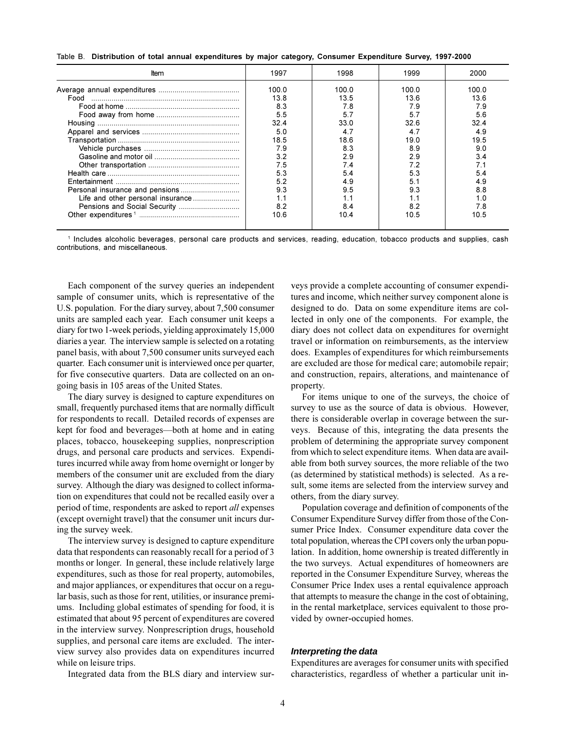Table B. Distribution of total annual expenditures by major category, Consumer Expenditure Survey, 1997-2000

| Item | 1997  | 1998  | 1999  | 2000  |
|------|-------|-------|-------|-------|
|      | 100 O | 100.0 | 100 0 | 100.0 |
| Food | 13.8  | 13.5  | 13.6  | 13.6  |
|      | 8.3   | 7.8   | 7.9   | 7.9   |
|      | 5.5   | 5.7   | 5.7   | 5.6   |
|      | 32.4  | 33.0  | 32.6  | 32.4  |
|      | 5.0   | 47    |       | 4.9   |
|      | 18.5  | 186   | 19.0  | 19.5  |
|      | 7.9   | 83    | 8.9   | 9.0   |
|      | 32    | 29    | 2.9   | 34    |
|      | 7.5   | 74    |       |       |
|      | 53    | 54    | 5.3   | 54    |
|      | 52    | 49    | 51    | 49    |
|      | 9.3   | 9.5   | 9.3   | 8.8   |
|      | 1.1   |       |       |       |
|      | 8.2   | 84    |       | 78    |
|      | 10.6  | 10.4  | 10.5  | 10.5  |

1 Includes alcoholic beverages, personal care products and services, reading, education, tobacco products and supplies, cash contributions, and miscellaneous.

Each component of the survey queries an independent sample of consumer units, which is representative of the U.S. population. For the diary survey, about 7,500 consumer units are sampled each year. Each consumer unit keeps a diary for two 1-week periods, yielding approximately 15,000 diaries a year. The interview sample is selected on a rotating panel basis, with about 7,500 consumer units surveyed each quarter. Each consumer unit is interviewed once per quarter, for five consecutive quarters. Data are collected on an ongoing basis in 105 areas of the United States.

The diary survey is designed to capture expenditures on small, frequently purchased items that are normally difficult for respondents to recall. Detailed records of expenses are kept for food and beverages-both at home and in eating places, tobacco, housekeeping supplies, nonprescription drugs, and personal care products and services. Expenditures incurred while away from home overnight or longer by members of the consumer unit are excluded from the diary survey. Although the diary was designed to collect information on expenditures that could not be recalled easily over a period of time, respondents are asked to report all expenses (except overnight travel) that the consumer unit incurs during the survey week.

The interview survey is designed to capture expenditure data that respondents can reasonably recall for a period of 3 months or longer. In general, these include relatively large expenditures, such as those for real property, automobiles, and major appliances, or expenditures that occur on a regular basis, such as those for rent, utilities, or insurance premiums. Including global estimates of spending for food, it is estimated that about 95 percent of expenditures are covered in the interview survey. Nonprescription drugs, household supplies, and personal care items are excluded. The interview survey also provides data on expenditures incurred while on leisure trips.

Integrated data from the BLS diary and interview sur-

veys provide a complete accounting of consumer expenditures and income, which neither survey component alone is designed to do. Data on some expenditure items are collected in only one of the components. For example, the diary does not collect data on expenditures for overnight travel or information on reimbursements, as the interview does. Examples of expenditures for which reimbursements are excluded are those for medical care; automobile repair; and construction, repairs, alterations, and maintenance of property.

For items unique to one of the surveys, the choice of survey to use as the source of data is obvious. However, there is considerable overlap in coverage between the surveys. Because of this, integrating the data presents the problem of determining the appropriate survey component from which to select expenditure items. When data are available from both survey sources, the more reliable of the two (as determined by statistical methods) is selected. As a result, some items are selected from the interview survey and others, from the diary survey.

Population coverage and definition of components of the Consumer Expenditure Survey differ from those of the Consumer Price Index. Consumer expenditure data cover the total population, whereas the CPI covers only the urban population. In addition, home ownership is treated differently in the two surveys. Actual expenditures of homeowners are reported in the Consumer Expenditure Survey, whereas the Consumer Price Index uses a rental equivalence approach that attempts to measure the change in the cost of obtaining, in the rental marketplace, services equivalent to those provided by owner-occupied homes.

#### Interpreting the data

Expenditures are averages for consumer units with specified characteristics, regardless of whether a particular unit in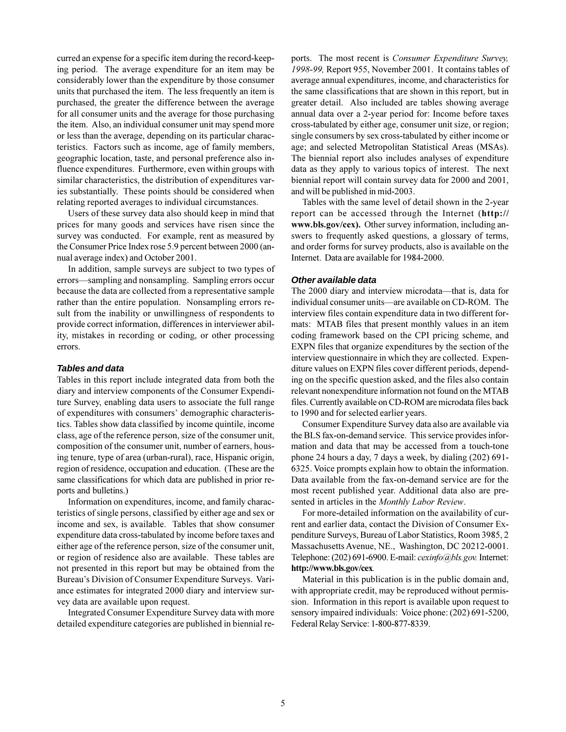curred an expense for a specific item during the record-keeping period. The average expenditure for an item may be considerably lower than the expenditure by those consumer units that purchased the item. The less frequently an item is purchased, the greater the difference between the average for all consumer units and the average for those purchasing the item. Also, an individual consumer unit may spend more or less than the average, depending on its particular characteristics. Factors such as income, age of family members, geographic location, taste, and personal preference also influence expenditures. Furthermore, even within groups with similar characteristics, the distribution of expenditures varies substantially. These points should be considered when relating reported averages to individual circumstances.

Users of these survey data also should keep in mind that prices for many goods and services have risen since the survey was conducted. For example, rent as measured by the Consumer Price Index rose 5.9 percent between 2000 (annual average index) and October 2001.

In addition, sample surveys are subject to two types of errors—sampling and nonsampling. Sampling errors occur because the data are collected from a representative sample rather than the entire population. Nonsampling errors result from the inability or unwillingness of respondents to provide correct information, differences in interviewer ability, mistakes in recording or coding, or other processing errors.

#### **Tables and data**

Tables in this report include integrated data from both the diary and interview components of the Consumer Expenditure Survey, enabling data users to associate the full range of expenditures with consumers' demographic characteristics. Tables show data classified by income quintile, income class, age of the reference person, size of the consumer unit, composition of the consumer unit, number of earners, housing tenure, type of area (urban-rural), race, Hispanic origin, region of residence, occupation and education. (These are the same classifications for which data are published in prior reports and bulletins.)

Information on expenditures, income, and family characteristics of single persons, classified by either age and sex or income and sex, is available. Tables that show consumer expenditure data cross-tabulated by income before taxes and either age of the reference person, size of the consumer unit, or region of residence also are available. These tables are not presented in this report but may be obtained from the Bureau's Division of Consumer Expenditure Surveys. Variance estimates for integrated 2000 diary and interview survey data are available upon request.

Integrated Consumer Expenditure Survey data with more detailed expenditure categories are published in biennial reports. The most recent is *Consumer Expenditure Survey*. 1998-99, Report 955, November 2001. It contains tables of average annual expenditures, income, and characteristics for the same classifications that are shown in this report, but in greater detail. Also included are tables showing average annual data over a 2-year period for: Income before taxes cross-tabulated by either age, consumer unit size, or region; single consumers by sex cross-tabulated by either income or age; and selected Metropolitan Statistical Areas (MSAs). The biennial report also includes analyses of expenditure data as they apply to various topics of interest. The next biennial report will contain survey data for 2000 and 2001, and will be published in mid-2003.

Tables with the same level of detail shown in the 2-year report can be accessed through the Internet (http:// www.bls.gov/cex). Other survey information, including answers to frequently asked questions, a glossary of terms, and order forms for survey products, also is available on the Internet. Data are available for 1984-2000.

#### Other available data

The 2000 diary and interview microdata—that is, data for individual consumer units—are available on CD-ROM. The interview files contain expenditure data in two different formats: MTAB files that present monthly values in an item coding framework based on the CPI pricing scheme, and EXPN files that organize expenditures by the section of the interview questionnaire in which they are collected. Expenditure values on EXPN files cover different periods, depending on the specific question asked, and the files also contain relevant nonexpenditure information not found on the MTAB files. Currently available on CD-ROM are microdata files back to 1990 and for selected earlier years.

Consumer Expenditure Survey data also are available via the BLS fax-on-demand service. This service provides information and data that may be accessed from a touch-tone phone 24 hours a day, 7 days a week, by dialing (202) 691-6325. Voice prompts explain how to obtain the information. Data available from the fax-on-demand service are for the most recent published year. Additional data also are presented in articles in the Monthly Labor Review.

For more-detailed information on the availability of current and earlier data, contact the Division of Consumer Expenditure Surveys, Bureau of Labor Statistics, Room 3985, 2 Massachusetts Avenue, NE., Washington, DC 20212-0001. Telephone: (202) 691-6900. E-mail: cexinfo@bls.gov. Internet: http://www.bls.gov/cex.

Material in this publication is in the public domain and, with appropriate credit, may be reproduced without permission. Information in this report is available upon request to sensory impaired individuals: Voice phone: (202) 691-5200, Federal Relay Service: 1-800-877-8339.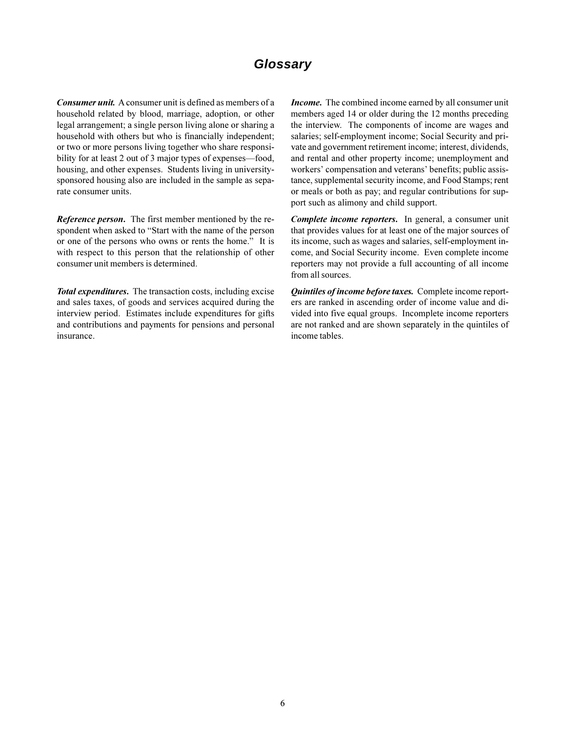# Glossary

**Consumer unit.** A consumer unit is defined as members of a household related by blood, marriage, adoption, or other legal arrangement; a single person living alone or sharing a household with others but who is financially independent; or two or more persons living together who share responsibility for at least 2 out of 3 major types of expenses—food, housing, and other expenses. Students living in universitysponsored housing also are included in the sample as separate consumer units.

**Reference person.** The first member mentioned by the respondent when asked to "Start with the name of the person or one of the persons who owns or rents the home." It is with respect to this person that the relationship of other consumer unit members is determined.

Total expenditures. The transaction costs, including excise and sales taxes, of goods and services acquired during the interview period. Estimates include expenditures for gifts and contributions and payments for pensions and personal insurance.

*Income.* The combined income earned by all consumer unit members aged 14 or older during the 12 months preceding the interview. The components of income are wages and salaries; self-employment income; Social Security and private and government retirement income; interest, dividends, and rental and other property income; unemployment and workers' compensation and veterans' benefits; public assistance, supplemental security income, and Food Stamps; rent or meals or both as pay; and regular contributions for support such as alimony and child support.

Complete income reporters. In general, a consumer unit that provides values for at least one of the major sources of its income, such as wages and salaries, self-employment income, and Social Security income. Even complete income reporters may not provide a full accounting of all income from all sources.

Quintiles of income before taxes. Complete income reporters are ranked in ascending order of income value and divided into five equal groups. Incomplete income reporters are not ranked and are shown separately in the quintiles of income tables.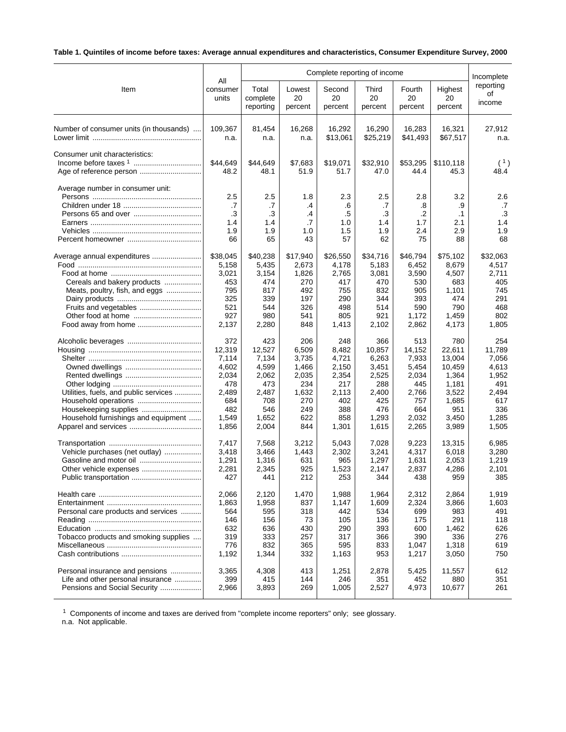# **Table 1. Quintiles of income before taxes: Average annual expenditures and characteristics, Consumer Expenditure Survey, 2000**

|                                         | Complete reporting of income        |                                     |                                    |                                     |                                            |                                          |                                     | Incomplete                          |
|-----------------------------------------|-------------------------------------|-------------------------------------|------------------------------------|-------------------------------------|--------------------------------------------|------------------------------------------|-------------------------------------|-------------------------------------|
| Item                                    | All                                 | Total                               | Lowest                             | Second                              | Third                                      | Fourth                                   | Highest                             | reporting                           |
|                                         | consumer                            | complete                            | 20                                 | 20                                  | 20                                         | 20                                       | 20                                  | οf                                  |
|                                         | units                               | reporting                           | percent                            | percent                             | percent                                    | percent                                  | percent                             | income                              |
| Number of consumer units (in thousands) | 109,367                             | 81,454                              | 16,268                             | 16,292                              | 16,290                                     | 16,283                                   | 16,321                              | 27,912                              |
|                                         | n.a.                                | n.a.                                | n.a.                               | \$13,061                            | \$25,219                                   | \$41,493                                 | \$67,517                            | n.a.                                |
| Consumer unit characteristics:          | \$44,649<br>48.2                    | \$44,649<br>48.1                    | \$7,683<br>51.9                    | \$19,071<br>51.7                    | \$32,910<br>47.0                           | \$53,295<br>44.4                         | \$110,118<br>45.3                   | (1)<br>48.4                         |
| Average number in consumer unit:        | 2.5<br>.7<br>.3<br>1.4<br>1.9<br>66 | 2.5<br>.7<br>.3<br>1.4<br>1.9<br>65 | 1.8<br>.4<br>.4<br>.7<br>1.0<br>43 | 2.3<br>.6<br>.5<br>1.0<br>1.5<br>57 | 2.5<br>.7<br>$\cdot$ 3<br>1.4<br>1.9<br>62 | 2.8<br>.8<br>$\cdot$<br>1.7<br>2.4<br>75 | 3.2<br>.9<br>.1<br>2.1<br>2.9<br>88 | 2.6<br>.7<br>.3<br>1.4<br>1.9<br>68 |
| Average annual expenditures             | \$38,045                            | \$40,238                            | \$17,940                           | \$26,550                            | \$34,716                                   | \$46,794                                 | \$75,102                            | \$32,063                            |
|                                         | 5,158                               | 5,435                               | 2,673                              | 4,178                               | 5,183                                      | 6,452                                    | 8,679                               | 4,517                               |
|                                         | 3,021                               | 3,154                               | 1,826                              | 2,765                               | 3,081                                      | 3,590                                    | 4,507                               | 2,711                               |
| Cereals and bakery products             | 453                                 | 474                                 | 270                                | 417                                 | 470                                        | 530                                      | 683                                 | 405                                 |
| Meats, poultry, fish, and eggs          | 795                                 | 817                                 | 492                                | 755                                 | 832                                        | 905                                      | 1,101                               | 745                                 |
|                                         | 325                                 | 339                                 | 197                                | 290                                 | 344                                        | 393                                      | 474                                 | 291                                 |
|                                         | 521                                 | 544                                 | 326                                | 498                                 | 514                                        | 590                                      | 790                                 | 468                                 |
|                                         | 927                                 | 980                                 | 541                                | 805                                 | 921                                        | 1,172                                    | 1,459                               | 802                                 |
| Food away from home                     | 2,137                               | 2,280                               | 848                                | 1,413                               | 2,102                                      | 2,862                                    | 4,173                               | 1,805                               |
|                                         | 372                                 | 423                                 | 206                                | 248                                 | 366                                        | 513                                      | 780                                 | 254                                 |
|                                         | 12,319                              | 12,527                              | 6,509                              | 8,482                               | 10,857                                     | 14,152                                   | 22,611                              | 11,789                              |
|                                         | 7,114                               | 7,134                               | 3,735                              | 4,721                               | 6,263                                      | 7,933                                    | 13,004                              | 7,056                               |
|                                         | 4,602                               | 4,599                               | 1,466                              | 2,150                               | 3,451                                      | 5,454                                    | 10,459                              | 4,613                               |
|                                         | 2,034                               | 2,062                               | 2,035                              | 2,354                               | 2,525                                      | 2,034                                    | 1,364                               | 1,952                               |
|                                         | 478                                 | 473                                 | 234                                | 217                                 | 288                                        | 445                                      | 1,181                               | 491                                 |
| Utilities, fuels, and public services   | 2,489                               | 2,487                               | 1,632                              | 2,113                               | 2,400                                      | 2,766                                    | 3,522                               | 2,494                               |
|                                         | 684                                 | 708                                 | 270                                | 402                                 | 425                                        | 757                                      | 1,685                               | 617                                 |
|                                         | 482                                 | 546                                 | 249                                | 388                                 | 476                                        | 664                                      | 951                                 | 336                                 |
| Household furnishings and equipment     | 1,549                               | 1,652                               | 622                                | 858                                 | 1,293                                      | 2,032                                    | 3,450                               | 1,285                               |
|                                         | 1,856                               | 2,004                               | 844                                | 1,301                               | 1,615                                      | 2,265                                    | 3,989                               | 1,505                               |
|                                         | 7,417                               | 7,568                               | 3,212                              | 5,043                               | 7,028                                      | 9,223                                    | 13,315                              | 6,985                               |
| Vehicle purchases (net outlay)          | 3,418                               | 3,466                               | 1,443                              | 2,302                               | 3,241                                      | 4,317                                    | 6,018                               | 3,280                               |
|                                         | 1,291                               | 1,316                               | 631                                | 965                                 | 1,297                                      | 1,631                                    | 2,053                               | 1,219                               |
|                                         | 2,281                               | 2,345                               | 925                                | 1,523                               | 2,147                                      | 2,837                                    | 4,286                               | 2,101                               |
|                                         | 427                                 | 441                                 | 212                                | 253                                 | 344                                        | 438                                      | 959                                 | 385                                 |
|                                         | 2.066                               | 2,120                               | 1,470                              | 1,988                               | 1,964                                      | 2,312                                    | 2,864                               | 1,919                               |
|                                         | 1,863                               | 1,958                               | 837                                | 1,147                               | 1,609                                      | 2,324                                    | 3,866                               | 1,603                               |
| Personal care products and services     | 564                                 | 595                                 | 318                                | 442                                 | 534                                        | 699                                      | 983                                 | 491                                 |
|                                         | 146                                 | 156                                 | 73                                 | 105                                 | 136                                        | 175                                      | 291                                 | 118                                 |
|                                         | 632                                 | 636                                 | 430                                | 290                                 | 393                                        | 600                                      | 1,462                               | 626                                 |
| Tobacco products and smoking supplies   | 319                                 | 333                                 | 257                                | 317                                 | 366                                        | 390                                      | 336                                 | 276                                 |
|                                         | 776                                 | 832                                 | 365                                | 595                                 | 833                                        | 1,047                                    | 1,318                               | 619                                 |
|                                         | 1,192                               | 1,344                               | 332                                | 1,163                               | 953                                        | 1,217                                    | 3,050                               | 750                                 |
| Personal insurance and pensions         | 3,365                               | 4,308                               | 413                                | 1,251                               | 2,878                                      | 5,425                                    | 11,557                              | 612                                 |
| Life and other personal insurance       | 399                                 | 415                                 | 144                                | 246                                 | 351                                        | 452                                      | 880                                 | 351                                 |
| Pensions and Social Security            | 2,966                               | 3,893                               | 269                                | 1,005                               | 2,527                                      | 4,973                                    | 10,677                              | 261                                 |

<sup>1</sup> Components of income and taxes are derived from "complete income reporters" only; see glossary.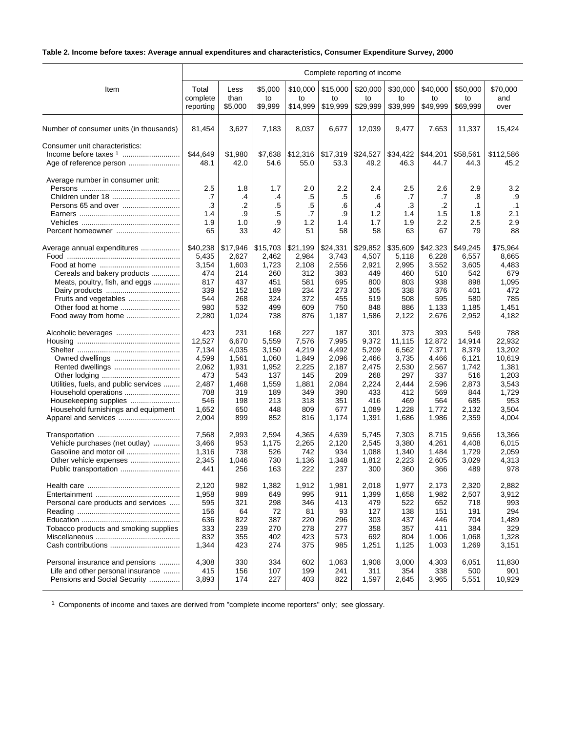# **Table 2. Income before taxes: Average annual expenditures and characteristics, Consumer Expenditure Survey, 2000**

|                                         | Complete reporting of income        |                                    |                                   |                                    |                                    |                                          |                                     |                                     |                                            |                                            |
|-----------------------------------------|-------------------------------------|------------------------------------|-----------------------------------|------------------------------------|------------------------------------|------------------------------------------|-------------------------------------|-------------------------------------|--------------------------------------------|--------------------------------------------|
| Item                                    | Total                               | Less                               | \$5,000                           | \$10,000                           | \$15,000                           | \$20,000                                 | \$30,000                            | \$40,000                            | \$50,000                                   | \$70,000                                   |
|                                         | complete                            | than                               | to                                | to                                 | to                                 | to                                       | to                                  | to                                  | to                                         | and                                        |
|                                         | reporting                           | \$5,000                            | \$9,999                           | \$14,999                           | \$19,999                           | \$29,999                                 | \$39,999                            | \$49,999                            | \$69,999                                   | over                                       |
| Number of consumer units (in thousands) | 81,454                              | 3,627                              | 7,183                             | 8,037                              | 6,677                              | 12,039                                   | 9,477                               | 7.653                               | 11,337                                     | 15,424                                     |
| Consumer unit characteristics:          | \$44,649<br>48.1                    | \$1,980<br>42.0                    | \$7,638<br>54.6                   | \$12,316<br>55.0                   | \$17,319<br>53.3                   | \$24,527<br>49.2                         | \$34,422<br>46.3                    | \$44,201<br>44.7                    | \$58,561<br>44.3                           | \$112,586<br>45.2                          |
| Average number in consumer unit:        | 2.5<br>.7<br>.3<br>1.4<br>1.9<br>65 | 1.8<br>.4<br>.2<br>.9<br>1.0<br>33 | 1.7<br>.4<br>.5<br>.5<br>.9<br>42 | 2.0<br>.5<br>.5<br>.7<br>1.2<br>51 | 2.2<br>.5<br>.6<br>.9<br>1.4<br>58 | 2.4<br>.6<br>$\cdot$<br>1.2<br>1.7<br>58 | 2.5<br>.7<br>.3<br>1.4<br>1.9<br>63 | 2.6<br>.7<br>.2<br>1.5<br>2.2<br>67 | 2.9<br>.8<br>$\cdot$ 1<br>1.8<br>2.5<br>79 | 3.2<br>.9<br>$\cdot$ 1<br>2.1<br>2.9<br>88 |
| Average annual expenditures             | \$40,238                            | \$17,946                           | \$15,703                          | \$21,199                           | \$24,331                           | \$29,852                                 | \$35,609                            | \$42,323                            | \$49,245                                   | \$75.964                                   |
|                                         | 5,435                               | 2,627                              | 2,462                             | 2,984                              | 3,743                              | 4,507                                    | 5,118                               | 6,228                               | 6,557                                      | 8,665                                      |
|                                         | 3,154                               | 1,603                              | 1,723                             | 2,108                              | 2,556                              | 2,921                                    | 2,995                               | 3,552                               | 3,605                                      | 4,483                                      |
| Cereals and bakery products             | 474                                 | 214                                | 260                               | 312                                | 383                                | 449                                      | 460                                 | 510                                 | 542                                        | 679                                        |
| Meats, poultry, fish, and eggs          | 817                                 | 437                                | 451                               | 581                                | 695                                | 800                                      | 803                                 | 938                                 | 898                                        | 1,095                                      |
|                                         | 339                                 | 152                                | 189                               | 234                                | 273                                | 305                                      | 338                                 | 376                                 | 401                                        | 472                                        |
| Fruits and vegetables                   | 544                                 | 268                                | 324                               | 372                                | 455                                | 519                                      | 508                                 | 595                                 | 580                                        | 785                                        |
| Other food at home                      | 980                                 | 532                                | 499                               | 609                                | 750                                | 848                                      | 886                                 | 1,133                               | 1,185                                      | 1,451                                      |
|                                         | 2,280                               | 1,024                              | 738                               | 876                                | 1,187                              | 1,586                                    | 2,122                               | 2,676                               | 2,952                                      | 4,182                                      |
|                                         | 423                                 | 231                                | 168                               | 227                                | 187                                | 301                                      | 373                                 | 393                                 | 549                                        | 788                                        |
|                                         | 12,527                              | 6,670                              | 5,559                             | 7,576                              | 7,995                              | 9,372                                    | 11,115                              | 12,872                              | 14,914                                     | 22,932                                     |
|                                         | 7,134                               | 4,035                              | 3,150                             | 4,219                              | 4,492                              | 5,209                                    | 6,562                               | 7,371                               | 8,379                                      | 13,202                                     |
|                                         | 4,599                               | 1,561                              | 1,060                             | 1,849                              | 2,096                              | 2,466                                    | 3,735                               | 4,466                               | 6,121                                      | 10,619                                     |
| Rented dwellings                        | 2,062                               | 1,931                              | 1,952                             | 2,225                              | 2,187                              | 2,475                                    | 2,530                               | 2,567                               | 1,742                                      | 1,381                                      |
|                                         | 473                                 | 543                                | 137                               | 145                                | 209                                | 268                                      | 297                                 | 337                                 | 516                                        | 1,203                                      |
| Utilities, fuels, and public services   | 2,487                               | 1,468                              | 1,559                             | 1,881                              | 2,084                              | 2,224                                    | 2,444                               | 2,596                               | 2,873                                      | 3,543                                      |
| Household operations                    | 708                                 | 319                                | 189                               | 349                                | 390                                | 433                                      | 412                                 | 569                                 | 844                                        | 1,729                                      |
| Housekeeping supplies                   | 546                                 | 198                                | 213                               | 318                                | 351                                | 416                                      | 469                                 | 564                                 | 685                                        | 953                                        |
| Household furnishings and equipment     | 1,652                               | 650                                | 448                               | 809                                | 677                                | 1,089                                    | 1,228                               | 1,772                               | 2,132                                      | 3,504                                      |
|                                         | 2,004                               | 899                                | 852                               | 816                                | 1,174                              | 1,391                                    | 1,686                               | 1,986                               | 2,359                                      | 4,004                                      |
|                                         | 7,568                               | 2,993                              | 2,594                             | 4,365                              | 4,639                              | 5,745                                    | 7,303                               | 8,715                               | 9,656                                      | 13,366                                     |
| Vehicle purchases (net outlay)          | 3,466                               | 953                                | 1,175                             | 2,265                              | 2,120                              | 2,545                                    | 3,380                               | 4,261                               | 4,408                                      | 6,015                                      |
| Gasoline and motor oil                  | 1,316                               | 738                                | 526                               | 742                                | 934                                | 1,088                                    | 1,340                               | 1,484                               | 1,729                                      | 2,059                                      |
|                                         | 2,345                               | 1,046                              | 730                               | 1,136                              | 1,348                              | 1,812                                    | 2,223                               | 2,605                               | 3,029                                      | 4,313                                      |
| Public transportation                   | 441                                 | 256                                | 163                               | 222                                | 237                                | 300                                      | 360                                 | 366                                 | 489                                        | 978                                        |
|                                         | 2,120                               | 982                                | 1,382                             | 1,912                              | 1,981                              | 2,018                                    | 1,977                               | 2,173                               | 2,320                                      | 2,882                                      |
|                                         | 1,958                               | 989                                | 649                               | 995                                | 911                                | 1,399                                    | 1,658                               | 1,982                               | 2,507                                      | 3,912                                      |
| Personal care products and services     | 595                                 | 321                                | 298                               | 346                                | 413                                | 479                                      | 522                                 | 652                                 | 718                                        | 993                                        |
|                                         | 156                                 | 64                                 | 72                                | 81                                 | 93                                 | 127                                      | 138                                 | 151                                 | 191                                        | 294                                        |
|                                         | 636                                 | 822                                | 387                               | 220                                | 296                                | 303                                      | 437                                 | 446                                 | 704                                        | 1,489                                      |
| Tobacco products and smoking supplies   | 333                                 | 239                                | 270                               | 278                                | 277                                | 358                                      | 357                                 | 411                                 | 384                                        | 329                                        |
|                                         | 832                                 | 355                                | 402                               | 423                                | 573                                | 692                                      | 804                                 | 1,006                               | 1,068                                      | 1,328                                      |
|                                         | 1,344                               | 423                                | 274                               | 375                                | 985                                | 1,251                                    | 1,125                               | 1,003                               | 1,269                                      | 3,151                                      |
| Personal insurance and pensions         | 4,308                               | 330                                | 334                               | 602                                | 1,063                              | 1,908                                    | 3,000                               | 4,303                               | 6,051                                      | 11,830                                     |
| Life and other personal insurance       | 415                                 | 156                                | 107                               | 199                                | 241                                | 311                                      | 354                                 | 338                                 | 500                                        | 901                                        |
| Pensions and Social Security            | 3,893                               | 174                                | 227                               | 403                                | 822                                | 1,597                                    | 2,645                               | 3,965                               | 5,551                                      | 10,929                                     |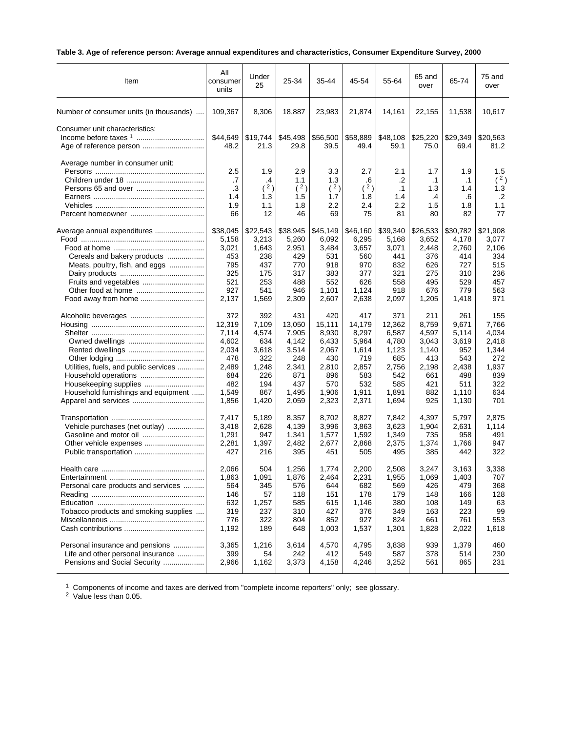# **Table 3. Age of reference person: Average annual expenditures and characteristics, Consumer Expenditure Survey, 2000**

| Item                                                      | All<br>consumer<br>units | Under<br>25      | 25-34            | 35-44            | 45-54            | 55-64            | 65 and<br>over   | 65-74            | 75 and<br>over   |
|-----------------------------------------------------------|--------------------------|------------------|------------------|------------------|------------------|------------------|------------------|------------------|------------------|
| Number of consumer units (in thousands)                   | 109,367                  | 8,306            | 18,887           | 23,983           | 21,874           | 14,161           | 22,155           | 11,538           | 10,617           |
| Consumer unit characteristics:<br>Age of reference person | \$44,649<br>48.2         | \$19,744<br>21.3 | \$45,498<br>29.8 | \$56,500<br>39.5 | \$58,889<br>49.4 | \$48,108<br>59.1 | \$25,220<br>75.0 | \$29,349<br>69.4 | \$20,563<br>81.2 |
| Average number in consumer unit:                          | 2.5                      | 1.9              | 2.9              | 3.3              | 2.7              | 2.1              | 1.7              | 1.9              | 1.5              |
|                                                           | .7                       | .4               | 1.1              | 1.3              | .6               | .2               | $\cdot$ 1        | $\cdot$ 1        | (2)              |
|                                                           | .3                       | (2)              | (2)              | (2)              | (2)              | $\cdot$ 1        | 1.3              | 1.4              | 1.3              |
|                                                           | 1.4                      | 1.3              | 1.5              | 1.7              | 1.8              | 1.4              | .4               | .6               | $\cdot$          |
|                                                           | 1.9                      | 1.1              | 1.8              | 2.2              | 2.4              | 2.2              | 1.5              | 1.8              | 1.1              |
|                                                           | 66                       | 12               | 46               | 69               | 75               | 81               | 80               | 82               | 77               |
| Average annual expenditures                               | \$38,045                 | \$22,543         | \$38,945         | \$45,149         | \$46,160         | \$39,340         | \$26,533         | \$30,782         | \$21,908         |
|                                                           | 5,158                    | 3,213            | 5,260            | 6,092            | 6,295            | 5,168            | 3,652            | 4,178            | 3,077            |
|                                                           | 3,021                    | 1,643            | 2,951            | 3,484            | 3,657            | 3,071            | 2,448            | 2,760            | 2,106            |
| Cereals and bakery products                               | 453                      | 238              | 429              | 531              | 560              | 441              | 376              | 414              | 334              |
| Meats, poultry, fish, and eggs                            | 795<br>325               | 437<br>175       | 770<br>317       | 918<br>383       | 970<br>377       | 832<br>321       | 626<br>275       | 727<br>310       | 515<br>236       |
| Fruits and vegetables                                     | 521                      | 253              | 488              | 552              | 626              | 558              | 495              | 529              | 457              |
|                                                           | 927                      | 541              | 946              | 1,101            | 1,124            | 918              | 676              | 779              | 563              |
|                                                           | 2,137                    | 1,569            | 2,309            | 2,607            | 2,638            | 2,097            | 1,205            | 1,418            | 971              |
|                                                           | 372                      | 392              | 431              | 420              | 417              | 371              | 211              | 261              | 155              |
|                                                           | 12,319                   | 7,109            | 13,050           | 15,111           | 14,179           | 12,362           | 8,759            | 9,671            | 7,766            |
|                                                           | 7,114                    | 4,574            | 7,905            | 8,930            | 8,297            | 6,587            | 4,597            | 5,114            | 4,034            |
|                                                           | 4,602                    | 634              | 4,142            | 6,433            | 5,964            | 4,780            | 3,043            | 3,619            | 2,418            |
|                                                           | 2,034                    | 3,618            | 3,514            | 2,067            | 1,614            | 1,123            | 1,140            | 952              | 1,344            |
|                                                           | 478                      | 322              | 248              | 430              | 719              | 685              | 413              | 543              | 272              |
| Utilities, fuels, and public services                     | 2,489                    | 1,248            | 2,341            | 2,810            | 2,857            | 2,756            | 2,198            | 2,438            | 1,937            |
| Household operations                                      | 684                      | 226              | 871              | 896              | 583              | 542              | 661              | 498              | 839              |
|                                                           | 482                      | 194              | 437              | 570              | 532              | 585              | 421              | 511              | 322              |
| Household furnishings and equipment                       | 1,549                    | 867              | 1,495            | 1,906            | 1,911            | 1,891            | 882              | 1,110            | 634              |
|                                                           | 1,856                    | 1,420            | 2,059            | 2,323            | 2,371            | 1,694            | 925              | 1,130            | 701              |
|                                                           | 7,417                    | 5,189            | 8,357            | 8,702            | 8,827            | 7,842            | 4,397            | 5,797            | 2,875            |
| Vehicle purchases (net outlay)                            | 3,418                    | 2,628            | 4,139            | 3,996            | 3,863            | 3,623            | 1,904            | 2,631            | 1.114            |
| Gasoline and motor oil                                    | 1,291                    | 947              | 1,341            | 1,577            | 1,592            | 1,349            | 735              | 958              | 491              |
|                                                           | 2,281                    | 1,397            | 2,482            | 2,677            | 2,868            | 2,375            | 1,374            | 1,766            | 947              |
|                                                           | 427                      | 216              | 395              | 451              | 505              | 495              | 385              | 442              | 322              |
|                                                           | 2,066                    | 504              | 1,256            | 1,774            | 2,200            | 2,508            | 3,247            | 3,163            | 3,338            |
| Entertainment                                             | 1.863                    | 1.091            | 1,876            | 2,464            | 2.231            | 1.955            | 1.069            | 1,403            | 707              |
| Personal care products and services                       | 564                      | 345              | 576              | 644              | 682              | 569              | 426              | 479              | 368              |
|                                                           | 146                      | 57               | 118              | 151              | 178              | 179              | 148              | 166              | 128              |
|                                                           | 632                      | 1,257            | 585              | 615              | 1,146            | 380              | 108              | 149              | 63               |
| Tobacco products and smoking supplies                     | 319                      | 237              | 310              | 427              | 376              | 349              | 163              | 223              | 99               |
|                                                           | 776                      | 322              | 804              | 852              | 927              | 824              | 661              | 761              | 553              |
|                                                           | 1,192                    | 189              | 648              | 1,003            | 1,537            | 1,301            | 1,828            | 2,022            | 1,618            |
| Personal insurance and pensions                           | 3,365                    | 1,216            | 3,614            | 4,570            | 4,795            | 3,838            | 939              | 1,379            | 460              |
| Life and other personal insurance                         | 399                      | 54               | 242              | 412              | 549              | 587              | 378              | 514              | 230              |
| Pensions and Social Security                              | 2,966                    | 1,162            | 3,373            | 4,158            | 4,246            | 3,252            | 561              | 865              | 231              |
|                                                           |                          |                  |                  |                  |                  |                  |                  |                  |                  |

 $1$  Components of income and taxes are derived from "complete income reporters" only; see glossary.

<sup>2</sup> Value less than 0.05.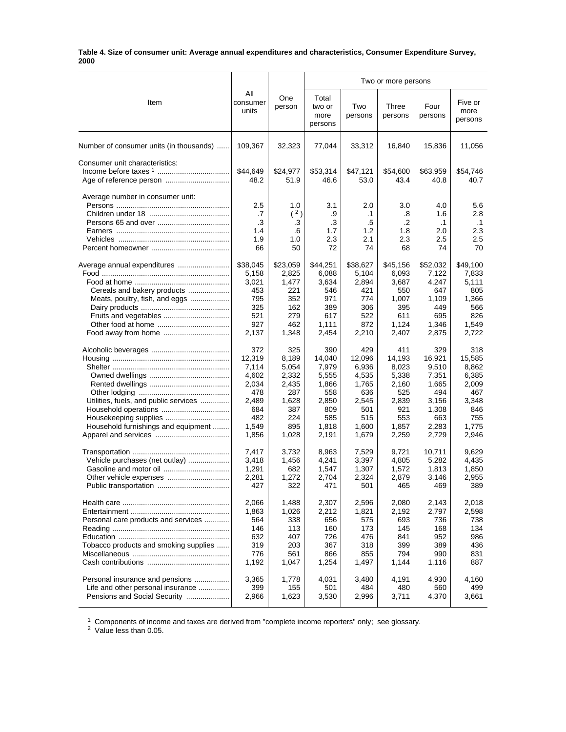#### **Table 4. Size of consumer unit: Average annual expenditures and characteristics, Consumer Expenditure Survey, 2000**

|                                                           |                                     |                                     | Two or more persons                 |                                            |                                     |                                             |                                             |  |
|-----------------------------------------------------------|-------------------------------------|-------------------------------------|-------------------------------------|--------------------------------------------|-------------------------------------|---------------------------------------------|---------------------------------------------|--|
| Item                                                      | All<br>consumer<br>units            | One<br>person                       | Total<br>two or<br>more<br>persons  | Two<br>persons                             | Three<br>persons                    | Four<br>persons                             | Five or<br>more<br>persons                  |  |
| Number of consumer units (in thousands)                   | 109,367                             | 32,323                              | 77,044                              | 33,312                                     | 16,840                              | 15,836                                      | 11,056                                      |  |
| Consumer unit characteristics:<br>Age of reference person | \$44,649<br>48.2                    | \$24,977<br>51.9                    | \$53,314<br>46.6                    | \$47,121<br>53.0                           | \$54,600<br>43.4                    | \$63,959<br>40.8                            | \$54,746<br>40.7                            |  |
| Average number in consumer unit:                          | 2.5<br>.7<br>.3<br>1.4<br>1.9<br>66 | 1.0<br>(2)<br>.3<br>.6<br>1.0<br>50 | 3.1<br>.9<br>.3<br>1.7<br>2.3<br>72 | 2.0<br>$\cdot$ 1<br>.5<br>1.2<br>2.1<br>74 | 3.0<br>.8<br>.2<br>1.8<br>2.3<br>68 | 4.0<br>1.6<br>$\cdot$ 1<br>2.0<br>2.5<br>74 | 5.6<br>2.8<br>$\cdot$ 1<br>2.3<br>2.5<br>70 |  |
|                                                           | \$38,045                            | \$23,059                            | \$44,251                            | \$38,627                                   | \$45,156                            | \$52,032                                    | \$49,100                                    |  |
|                                                           | 5,158                               | 2,825                               | 6,088                               | 5,104                                      | 6,093                               | 7,122                                       | 7,833                                       |  |
|                                                           | 3,021                               | 1,477                               | 3,634                               | 2,894                                      | 3,687                               | 4,247                                       | 5,111                                       |  |
| Cereals and bakery products                               | 453                                 | 221                                 | 546                                 | 421                                        | 550                                 | 647                                         | 805                                         |  |
| Meats, poultry, fish, and eggs                            | 795                                 | 352                                 | 971                                 | 774                                        | 1,007                               | 1,109                                       | 1,366                                       |  |
|                                                           | 325                                 | 162                                 | 389                                 | 306                                        | 395                                 | 449                                         | 566                                         |  |
| Fruits and vegetables                                     | 521                                 | 279                                 | 617                                 | 522                                        | 611                                 | 695                                         | 826                                         |  |
|                                                           | 927                                 | 462                                 | 1,111                               | 872                                        | 1,124                               | 1,346                                       | 1,549                                       |  |
|                                                           | 2,137                               | 1,348                               | 2,454                               | 2,210                                      | 2,407                               | 2,875                                       | 2,722                                       |  |
|                                                           | 372                                 | 325                                 | 390                                 | 429                                        | 411                                 | 329                                         | 318                                         |  |
|                                                           | 12,319                              | 8,189                               | 14,040                              | 12,096                                     | 14,193                              | 16,921                                      | 15,585                                      |  |
|                                                           | 7,114                               | 5,054                               | 7,979                               | 6,936                                      | 8,023                               | 9,510                                       | 8,862                                       |  |
|                                                           | 4,602                               | 2,332                               | 5,555                               | 4,535                                      | 5,338                               | 7,351                                       | 6,385                                       |  |
|                                                           | 2,034                               | 2,435                               | 1,866                               | 1,765                                      | 2,160                               | 1,665                                       | 2,009                                       |  |
|                                                           | 478                                 | 287                                 | 558                                 | 636                                        | 525                                 | 494                                         | 467                                         |  |
| Utilities, fuels, and public services                     | 2,489                               | 1,628                               | 2,850                               | 2,545                                      | 2,839                               | 3,156                                       | 3,348                                       |  |
|                                                           | 684                                 | 387                                 | 809                                 | 501                                        | 921                                 | 1,308                                       | 846                                         |  |
|                                                           | 482                                 | 224                                 | 585                                 | 515                                        | 553                                 | 663                                         | 755                                         |  |
| Household furnishings and equipment                       | 1,549                               | 895                                 | 1,818                               | 1,600                                      | 1,857                               | 2,283                                       | 1,775                                       |  |
|                                                           | 1,856                               | 1,028                               | 2,191                               | 1,679                                      | 2,259                               | 2,729                                       | 2,946                                       |  |
|                                                           | 7.417                               | 3,732                               | 8,963                               | 7,529                                      | 9,721                               | 10,711                                      | 9,629                                       |  |
| Vehicle purchases (net outlay)                            | 3,418                               | 1,456                               | 4,241                               | 3,397                                      | 4,805                               | 5,282                                       | 4,435                                       |  |
|                                                           | 1,291                               | 682                                 | 1,547                               | 1,307                                      | 1,572                               | 1,813                                       | 1,850                                       |  |
| Other vehicle expenses                                    | 2,281                               | 1,272                               | 2,704                               | 2,324                                      | 2,879                               | 3,146                                       | 2,955                                       |  |
|                                                           | 427                                 | 322                                 | 471                                 | 501                                        | 465                                 | 469                                         | 389                                         |  |
|                                                           | 2,066                               | 1,488                               | 2,307                               | 2,596                                      | 2,080                               | 2,143                                       | 2,018                                       |  |
|                                                           | 1,863                               | 1,026                               | 2,212                               | 1,821                                      | 2,192                               | 2,797                                       | 2,598                                       |  |
| Personal care products and services                       | 564                                 | 338                                 | 656                                 | 575                                        | 693                                 | 736                                         | 738                                         |  |
|                                                           | 146                                 | 113                                 | 160                                 | 173                                        | 145                                 | 168                                         | 134                                         |  |
|                                                           | 632                                 | 407                                 | 726                                 | 476                                        | 841                                 | 952                                         | 986                                         |  |
| Tobacco products and smoking supplies                     | 319                                 | 203                                 | 367                                 | 318                                        | 399                                 | 389                                         | 436                                         |  |
|                                                           | 776                                 | 561                                 | 866                                 | 855                                        | 794                                 | 990                                         | 831                                         |  |
|                                                           | 1,192                               | 1,047                               | 1,254                               | 1,497                                      | 1,144                               | 1,116                                       | 887                                         |  |
| Personal insurance and pensions                           | 3,365                               | 1,778                               | 4,031                               | 3,480                                      | 4,191                               | 4,930                                       | 4,160                                       |  |
| Life and other personal insurance                         | 399                                 | 155                                 | 501                                 | 484                                        | 480                                 | 560                                         | 499                                         |  |
| Pensions and Social Security                              | 2,966                               | 1,623                               | 3,530                               | 2,996                                      | 3,711                               | 4,370                                       | 3,661                                       |  |

 $1$  Components of income and taxes are derived from "complete income reporters" only; see glossary.

<sup>2</sup> Value less than 0.05.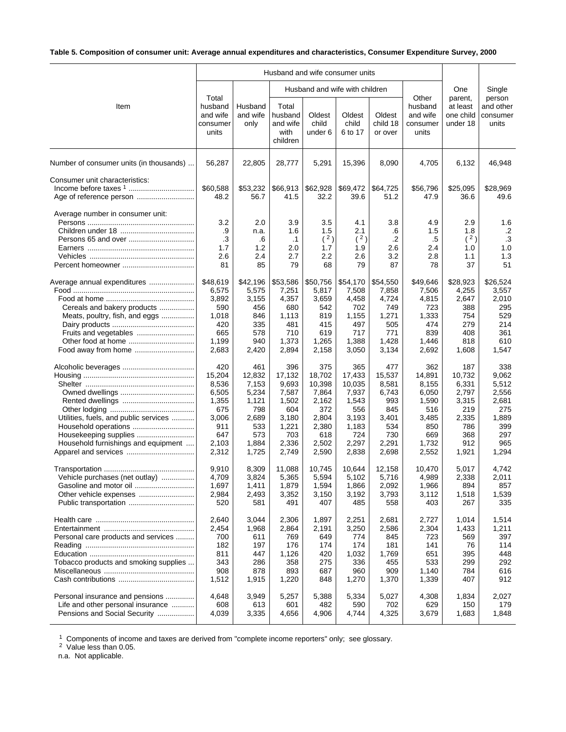# **Table 5. Composition of consumer unit: Average annual expenditures and characteristics, Consumer Expenditure Survey, 2000**

|                                                                                                      |                                                                                          |                                                                                          |                                                                                            |                                                                                             | Husband and wife consumer units                                                             |                                                                                        |                                                                                          |                                                                                        |                                                                                       |
|------------------------------------------------------------------------------------------------------|------------------------------------------------------------------------------------------|------------------------------------------------------------------------------------------|--------------------------------------------------------------------------------------------|---------------------------------------------------------------------------------------------|---------------------------------------------------------------------------------------------|----------------------------------------------------------------------------------------|------------------------------------------------------------------------------------------|----------------------------------------------------------------------------------------|---------------------------------------------------------------------------------------|
|                                                                                                      |                                                                                          |                                                                                          |                                                                                            |                                                                                             | Husband and wife with children                                                              |                                                                                        |                                                                                          | One                                                                                    | Single                                                                                |
| Item                                                                                                 | Total<br>husband<br>and wife<br>consumer<br>units                                        | Husband<br>and wife<br>only                                                              | Total<br>husband<br>and wife<br>with<br>children                                           | Oldest<br>child<br>under 6                                                                  | Oldest<br>child<br>6 to 17                                                                  | Oldest<br>child 18<br>or over                                                          | Other<br>husband<br>and wife<br>consumer<br>units                                        | parent,<br>at least<br>one child<br>under 18                                           | person<br>and other<br>consumer<br>units                                              |
| Number of consumer units (in thousands)                                                              | 56,287                                                                                   | 22,805                                                                                   | 28,777                                                                                     | 5,291                                                                                       | 15,396                                                                                      | 8,090                                                                                  | 4,705                                                                                    | 6,132                                                                                  | 46,948                                                                                |
| Consumer unit characteristics:                                                                       | \$60,588<br>48.2                                                                         | \$53,232<br>56.7                                                                         | \$66,913<br>41.5                                                                           | \$62,928<br>32.2                                                                            | \$69,472<br>39.6                                                                            | \$64,725<br>51.2                                                                       | \$56,796<br>47.9                                                                         | \$25,095<br>36.6                                                                       | \$28,969<br>49.6                                                                      |
| Average number in consumer unit:                                                                     | 3.2<br>.9<br>.3<br>1.7<br>2.6<br>81                                                      | 2.0<br>n.a.<br>.6<br>1.2<br>2.4<br>85                                                    | 3.9<br>1.6<br>$\cdot$ 1<br>2.0<br>2.7<br>79                                                | 3.5<br>1.5<br>(2)<br>1.7<br>2.2<br>68                                                       | 4.1<br>2.1<br>(2)<br>1.9<br>2.6<br>79                                                       | 3.8<br>.6<br>$\cdot$<br>2.6<br>3.2<br>87                                               | 4.9<br>1.5<br>.5<br>2.4<br>2.8<br>78                                                     | 2.9<br>1.8<br>(2)<br>1.0<br>1.1<br>37                                                  | 1.6<br>.2<br>$\cdot$ 3<br>1.0<br>1.3<br>51                                            |
| Average annual expenditures<br>Cereals and bakery products<br>Meats, poultry, fish, and eggs         | \$48,619<br>6,575<br>3,892<br>590<br>1,018<br>420<br>665<br>1,199<br>2,683               | \$42,196<br>5,575<br>3,155<br>456<br>846<br>335<br>578<br>940<br>2,420                   | \$53,586<br>7,251<br>4,357<br>680<br>1,113<br>481<br>710<br>1,373<br>2,894                 | \$50,756<br>5,817<br>3,659<br>542<br>819<br>415<br>619<br>1,265<br>2,158                    | \$54,170<br>7,508<br>4,458<br>702<br>1,155<br>497<br>717<br>1,388<br>3,050                  | \$54,550<br>7,858<br>4,724<br>749<br>1,271<br>505<br>771<br>1,428<br>3,134             | \$49,646<br>7,506<br>4,815<br>723<br>1,333<br>474<br>839<br>1,446<br>2,692               | \$28,923<br>4,255<br>2,647<br>388<br>754<br>279<br>408<br>818<br>1,608                 | \$26,524<br>3,557<br>2,010<br>295<br>529<br>214<br>361<br>610<br>1,547                |
| Utilities, fuels, and public services<br>Household furnishings and equipment<br>Apparel and services | 420<br>15,204<br>8,536<br>6,505<br>1,355<br>675<br>3,006<br>911<br>647<br>2,103<br>2,312 | 461<br>12,832<br>7,153<br>5,234<br>1,121<br>798<br>2,689<br>533<br>573<br>1,884<br>1,725 | 396<br>17,132<br>9,693<br>7,587<br>1,502<br>604<br>3,180<br>1,221<br>703<br>2,336<br>2,749 | 375<br>18,702<br>10,398<br>7,864<br>2,162<br>372<br>2,804<br>2,380<br>618<br>2,502<br>2,590 | 365<br>17,433<br>10,035<br>7,937<br>1,543<br>556<br>3,193<br>1,183<br>724<br>2,297<br>2,838 | 477<br>15,537<br>8,581<br>6,743<br>993<br>845<br>3,401<br>534<br>730<br>2,291<br>2,698 | 362<br>14,891<br>8,155<br>6,050<br>1,590<br>516<br>3,485<br>850<br>669<br>1,732<br>2,552 | 187<br>10,732<br>6,331<br>2,797<br>3,315<br>219<br>2,335<br>786<br>368<br>912<br>1,921 | 338<br>9,062<br>5,512<br>2,556<br>2,681<br>275<br>1,889<br>399<br>297<br>965<br>1,294 |
| Vehicle purchases (net outlay)                                                                       | 9,910<br>4,709<br>1,697<br>2,984<br>520                                                  | 8,309<br>3,824<br>1,411<br>2,493<br>581                                                  | 11,088<br>5,365<br>1,879<br>3,352<br>491                                                   | 10,745<br>5,594<br>1,594<br>3,150<br>407                                                    | 10,644<br>5,102<br>1,866<br>3,192<br>485                                                    | 12,158<br>5,716<br>2,092<br>3,793<br>558                                               | 10,470<br>4.989<br>1,966<br>3,112<br>403                                                 | 5,017<br>2,338<br>894<br>1,518<br>267                                                  | 4,742<br>2,011<br>857<br>1,539<br>335                                                 |
| Personal care products and services<br>Tobacco products and smoking supplies                         | 2,640<br>2,454<br>700<br>182<br>811<br>343<br>908<br>1,512                               | 3,044<br>1,968<br>611<br>197<br>447<br>286<br>878<br>1,915                               | 2,306<br>2,864<br>769<br>176<br>1,126<br>358<br>893<br>1,220                               | 1,897<br>2,191<br>649<br>174<br>420<br>275<br>687<br>848                                    | 2,251<br>3,250<br>774<br>174<br>1,032<br>336<br>960<br>1,270                                | 2,681<br>2,586<br>845<br>181<br>1,769<br>455<br>909<br>1,370                           | 2,727<br>2,304<br>723<br>141<br>651<br>533<br>1,140<br>1,339                             | 1,014<br>1,433<br>569<br>76<br>395<br>299<br>784<br>407                                | 1,514<br>1,211<br>397<br>114<br>448<br>292<br>616<br>912                              |
| Personal insurance and pensions<br>Life and other personal insurance<br>Pensions and Social Security | 4,648<br>608<br>4,039                                                                    | 3,949<br>613<br>3,335                                                                    | 5,257<br>601<br>4,656                                                                      | 5,388<br>482<br>4,906                                                                       | 5,334<br>590<br>4,744                                                                       | 5,027<br>702<br>4,325                                                                  | 4,308<br>629<br>3,679                                                                    | 1,834<br>150<br>1,683                                                                  | 2,027<br>179<br>1,848                                                                 |

 $1$  Components of income and taxes are derived from "complete income reporters" only; see glossary.

<sup>2</sup> Value less than 0.05.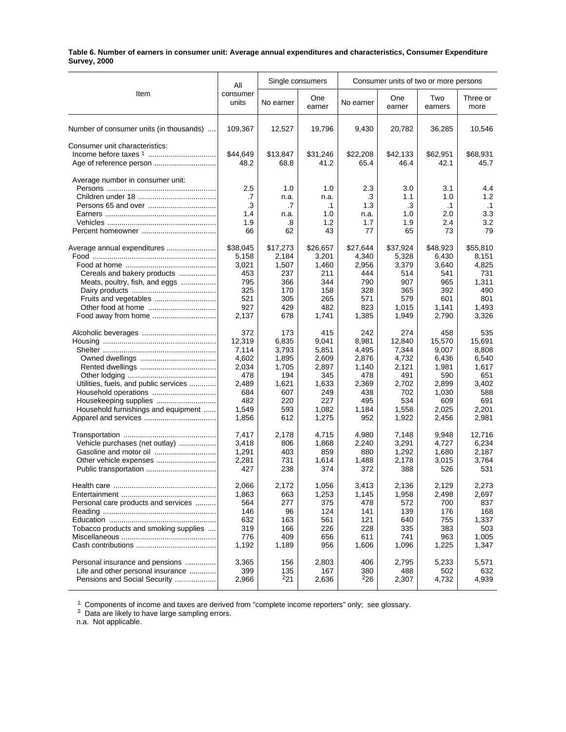#### **Table 6. Number of earners in consumer unit: Average annual expenditures and characteristics, Consumer Expenditure Survey, 2000**

|                                         | All               |            | Single consumers |              |               | Consumer units of two or more persons |                  |
|-----------------------------------------|-------------------|------------|------------------|--------------|---------------|---------------------------------------|------------------|
| Item                                    | consumer<br>units | No earner  | One<br>earner    | No earner    | One<br>earner | Two<br>earners                        | Three or<br>more |
| Number of consumer units (in thousands) | 109,367           | 12,527     | 19,796           | 9,430        | 20,782        | 36,285                                | 10,546           |
| Consumer unit characteristics:          |                   |            |                  |              |               |                                       |                  |
|                                         | \$44,649          | \$13,847   | \$31,246         | \$22,208     | \$42,133      | \$62,951                              | \$68,931         |
|                                         | 48.2              | 68.8       | 41.2             | 65.4         | 46.4          | 42.1                                  | 45.7             |
| Average number in consumer unit:        | 2.5               | 1.0        | 1.0              | 2.3          | 3.0           | 3.1                                   | 4.4              |
|                                         | .7                | n.a.       | n.a.             | .3           | 1.1           | 1.0                                   | 1.2              |
|                                         | .3                | .7         | $\cdot$ 1        | 1.3          | .3            | $\cdot$ 1                             | $\cdot$ 1        |
|                                         | 1.4               | n.a.       | 1.0              | n.a.         | 1.0           | 2.0                                   | 3.3              |
|                                         | 1.9               | .8         | 1.2              | 1.7          | 1.9           | 2.4                                   | 3.2              |
|                                         | 66                | 62         | 43               | 77           | 65            | 73                                    | 79               |
| Average annual expenditures             | \$38,045          | \$17,273   | \$26,657         | \$27,644     | \$37,924      | \$48,923                              | \$55,810         |
|                                         | 5,158             | 2,184      | 3,201            | 4,340        | 5,328         | 6,430                                 | 8,151            |
|                                         | 3,021             | 1,507      | 1,460            | 2,956        | 3,379         | 3,640                                 | 4,825            |
| Cereals and bakery products             | 453               | 237        | 211              | 444          | 514           | 541                                   | 731              |
| Meats, poultry, fish, and eggs          | 795               | 366        | 344              | 790          | 907           | 965                                   | 1,311            |
|                                         | 325               | 170        | 158              | 328          | 365           | 392                                   | 490              |
|                                         | 521               | 305        | 265              | 571          | 579           | 601                                   | 801              |
|                                         | 927               | 429        | 482              | 823          | 1,015         | 1,141                                 | 1,493            |
| Food away from home                     | 2,137             | 678        | 1,741            | 1,385        | 1,949         | 2,790                                 | 3,326            |
|                                         | 372               | 173        | 415              | 242          | 274           | 458                                   | 535              |
|                                         | 12,319            | 6,835      | 9,041            | 8,981        | 12,840        | 15,570                                | 15,691           |
|                                         | 7,114             | 3,793      | 5,851            | 4,495        | 7,344         | 9,007                                 | 8,808            |
|                                         | 4,602             | 1,895      | 2,609            | 2,876        | 4,732         | 6,436                                 | 6,540            |
|                                         | 2,034             | 1,705      | 2,897            | 1,140        | 2,121         | 1,981                                 | 1,617            |
|                                         | 478               | 194        | 345              | 478          | 491           | 590                                   | 651              |
| Utilities, fuels, and public services   | 2,489             | 1,621      | 1,633            | 2,369        | 2,702         | 2,899                                 | 3,402            |
|                                         | 684               | 607        | 249              | 438          | 702           | 1,030                                 | 588              |
| Housekeeping supplies                   | 482               | 220        | 227              | 495          | 534           | 609                                   | 691              |
| Household furnishings and equipment     | 1,549             | 593        | 1,082            | 1,184        | 1,558         | 2,025                                 | 2,201            |
|                                         | 1,856             | 612        | 1,275            | 952          | 1,922         | 2,456                                 | 2,981            |
|                                         |                   |            |                  |              |               |                                       | 12,716           |
| Vehicle purchases (net outlay)          | 7,417             | 2,178      | 4,715            | 4,980        | 7,148         | 9,948                                 |                  |
|                                         | 3,418             | 806        | 1,868            | 2,240        | 3,291         | 4,727                                 | 6,234            |
| Gasoline and motor oil                  | 1,291             | 403        | 859              | 880          | 1,292         | 1,680                                 | 2,187            |
|                                         | 2,281<br>427      | 731<br>238 | 1,614<br>374     | 1,488<br>372 | 2,178<br>388  | 3,015<br>526                          | 3,764<br>531     |
|                                         | 2,066             | 2,172      | 1,056            | 3,413        | 2,136         | 2,129                                 | 2,273            |
|                                         | 1,863             | 663        | 1,253            | 1,145        | 1,958         | 2,498                                 | 2,697            |
| Personal care products and services     | 564               | 277        | 375              | 478          | 572           | 700                                   | 837              |
|                                         | 146               | 96         | 124              | 141          | 139           | 176                                   | 168              |
|                                         | 632               | 163        | 561              | 121          | 640           | 755                                   | 1,337            |
| Tobacco products and smoking supplies   | 319               | 166        | 226              | 228          | 335           | 383                                   | 503              |
|                                         | 776               | 409        | 656              | 611          | 741           | 963                                   | 1,005            |
|                                         | 1,192             | 1,189      | 956              | 1,606        | 1,096         | 1,225                                 | 1,347            |
| Personal insurance and pensions         | 3,365             | 156        | 2,803            | 406          | 2,795         | 5,233                                 | 5,571            |
| Life and other personal insurance       | 399               | 135        | 167              | 380          | 488           | 502                                   | 632              |
| Pensions and Social Security            | 2,966             | $^{2}21$   | 2,636            | $^{2}26$     | 2,307         | 4,732                                 | 4,939            |
|                                         |                   |            |                  |              |               |                                       |                  |

 $1$  Components of income and taxes are derived from "complete income reporters" only; see glossary.

 $2$  Data are likely to have large sampling errors.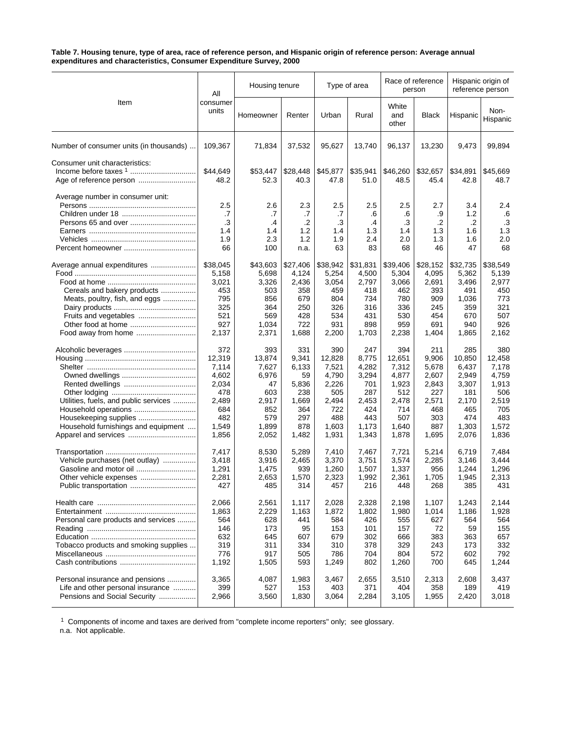#### **Table 7. Housing tenure, type of area, race of reference person, and Hispanic origin of reference person: Average annual expenditures and characteristics, Consumer Expenditure Survey, 2000**

|                                         | All                                 | Housing tenure                       |                                       | Type of area                        |                                          | Race of reference<br>person         |                                     | Hispanic origin of<br>reference person |                                            |
|-----------------------------------------|-------------------------------------|--------------------------------------|---------------------------------------|-------------------------------------|------------------------------------------|-------------------------------------|-------------------------------------|----------------------------------------|--------------------------------------------|
| Item                                    | consumer<br>units                   | Homeowner                            | Renter                                | Urban                               | Rural                                    | White<br>and<br>other               | <b>Black</b>                        | Hispanic                               | Non-<br>Hispanic                           |
| Number of consumer units (in thousands) | 109,367                             | 71,834                               | 37,532                                | 95,627                              | 13,740                                   | 96,137                              | 13,230                              | 9,473                                  | 99,894                                     |
| Consumer unit characteristics:          | \$44,649<br>48.2                    | \$53,447<br>52.3                     | \$28,448<br>40.3                      | \$45,877<br>47.8                    | \$35,941<br>51.0                         | \$46,260<br>48.5                    | \$32,657<br>45.4                    | \$34,891<br>42.8                       | \$45,669<br>48.7                           |
| Average number in consumer unit:        | 2.5<br>.7<br>.3<br>1.4<br>1.9<br>66 | 2.6<br>.7<br>.4<br>1.4<br>2.3<br>100 | 2.3<br>.7<br>.2<br>1.2<br>1.2<br>n.a. | 2.5<br>.7<br>.3<br>1.4<br>1.9<br>63 | 2.5<br>.6<br>$\cdot$<br>1.3<br>2.4<br>83 | 2.5<br>.6<br>.3<br>1.4<br>2.0<br>68 | 2.7<br>.9<br>.2<br>1.3<br>1.3<br>46 | 3.4<br>1.2<br>.2<br>1.6<br>1.6<br>47   | 2.4<br>.6<br>$\cdot$ 3<br>1.3<br>2.0<br>68 |
| Average annual expenditures             | \$38,045                            | \$43,603                             | \$27,406                              | \$38,942                            | \$31,831                                 | \$39,406                            | \$28,152                            | \$32,735                               | \$38,549                                   |
|                                         | 5,158                               | 5,698                                | 4,124                                 | 5,254                               | 4,500                                    | 5,304                               | 4,095                               | 5,362                                  | 5,139                                      |
|                                         | 3,021                               | 3,326                                | 2,436                                 | 3,054                               | 2,797                                    | 3,066                               | 2,691                               | 3,496                                  | 2,977                                      |
| Cereals and bakery products             | 453                                 | 503                                  | 358                                   | 459                                 | 418                                      | 462                                 | 393                                 | 491                                    | 450                                        |
| Meats, poultry, fish, and eggs          | 795                                 | 856                                  | 679                                   | 804                                 | 734                                      | 780                                 | 909                                 | 1,036                                  | 773                                        |
|                                         | 325                                 | 364                                  | 250                                   | 326                                 | 316                                      | 336                                 | 245                                 | 359                                    | 321                                        |
| Fruits and vegetables                   | 521                                 | 569                                  | 428                                   | 534                                 | 431                                      | 530                                 | 454                                 | 670                                    | 507                                        |
| Other food at home                      | 927                                 | 1,034                                | 722                                   | 931                                 | 898                                      | 959                                 | 691                                 | 940                                    | 926                                        |
| Food away from home                     | 2,137                               | 2,371                                | 1,688                                 | 2,200                               | 1,703                                    | 2,238                               | 1,404                               | 1,865                                  | 2,162                                      |
|                                         | 372                                 | 393                                  | 331                                   | 390                                 | 247                                      | 394                                 | 211                                 | 285                                    | 380                                        |
|                                         | 12,319                              | 13,874                               | 9,341                                 | 12,828                              | 8,775                                    | 12,651                              | 9,906                               | 10,850                                 | 12,458                                     |
|                                         | 7,114                               | 7,627                                | 6,133                                 | 7,521                               | 4,282                                    | 7,312                               | 5,678                               | 6,437                                  | 7,178                                      |
|                                         | 4,602                               | 6,976                                | 59                                    | 4,790                               | 3,294                                    | 4,877                               | 2,607                               | 2,949                                  | 4,759                                      |
|                                         | 2,034                               | 47                                   | 5,836                                 | 2,226                               | 701                                      | 1,923                               | 2,843                               | 3,307                                  | 1,913                                      |
|                                         | 478                                 | 603                                  | 238                                   | 505                                 | 287                                      | 512                                 | 227                                 | 181                                    | 506                                        |
| Utilities, fuels, and public services   | 2,489                               | 2,917                                | 1,669                                 | 2,494                               | 2,453                                    | 2,478                               | 2,571                               | 2,170                                  | 2,519                                      |
| Household operations                    | 684                                 | 852                                  | 364                                   | 722                                 | 424                                      | 714                                 | 468                                 | 465                                    | 705                                        |
|                                         | 482                                 | 579                                  | 297                                   | 488                                 | 443                                      | 507                                 | 303                                 | 474                                    | 483                                        |
| Household furnishings and equipment     | 1,549                               | 1,899                                | 878                                   | 1,603                               | 1,173                                    | 1,640                               | 887                                 | 1,303                                  | 1,572                                      |
|                                         | 1,856                               | 2,052                                | 1,482                                 | 1,931                               | 1,343                                    | 1,878                               | 1,695                               | 2,076                                  | 1,836                                      |
|                                         | 7,417                               | 8,530                                | 5,289                                 | 7,410                               | 7,467                                    | 7,721                               | 5,214                               | 6,719                                  | 7,484                                      |
| Vehicle purchases (net outlay)          | 3,418                               | 3,916                                | 2,465                                 | 3,370                               | 3,751                                    | 3,574                               | 2,285                               | 3,146                                  | 3,444                                      |
|                                         | 1,291                               | 1,475                                | 939                                   | 1,260                               | 1,507                                    | 1,337                               | 956                                 | 1,244                                  | 1,296                                      |
| Other vehicle expenses                  | 2,281                               | 2,653                                | 1,570                                 | 2,323                               | 1,992                                    | 2,361                               | 1,705                               | 1,945                                  | 2,313                                      |
| Public transportation                   | 427                                 | 485                                  | 314                                   | 457                                 | 216                                      | 448                                 | 268                                 | 385                                    | 431                                        |
|                                         | 2,066                               | 2,561                                | 1,117                                 | 2,028                               | 2,328                                    | 2,198                               | 1,107                               | 1,243                                  | 2,144                                      |
|                                         | 1,863                               | 2,229                                | 1,163                                 | 1,872                               | 1,802                                    | 1,980                               | 1,014                               | 1,186                                  | 1,928                                      |
| Personal care products and services     | 564                                 | 628                                  | 441                                   | 584                                 | 426                                      | 555                                 | 627                                 | 564                                    | 564                                        |
|                                         | 146                                 | 173                                  | 95                                    | 153                                 | 101                                      | 157                                 | 72                                  | 59                                     | 155                                        |
|                                         | 632                                 | 645                                  | 607                                   | 679                                 | 302                                      | 666                                 | 383                                 | 363                                    | 657                                        |
| Tobacco products and smoking supplies   | 319                                 | 311                                  | 334                                   | 310                                 | 378                                      | 329                                 | 243                                 | 173                                    | 332                                        |
|                                         | 776                                 | 917                                  | 505                                   | 786                                 | 704                                      | 804                                 | 572                                 | 602                                    | 792                                        |
|                                         | 1,192                               | 1,505                                | 593                                   | 1,249                               | 802                                      | 1,260                               | 700                                 | 645                                    | 1,244                                      |
| Personal insurance and pensions         | 3,365                               | 4,087                                | 1,983                                 | 3,467                               | 2,655                                    | 3,510                               | 2,313                               | 2,608                                  | 3,437                                      |
| Life and other personal insurance       | 399                                 | 527                                  | 153                                   | 403                                 | 371                                      | 404                                 | 358                                 | 189                                    | 419                                        |
| Pensions and Social Security            | 2,966                               | 3,560                                | 1,830                                 | 3,064                               | 2,284                                    | 3,105                               | 1,955                               | 2,420                                  | 3,018                                      |

 $1$  Components of income and taxes are derived from "complete income reporters" only; see glossary.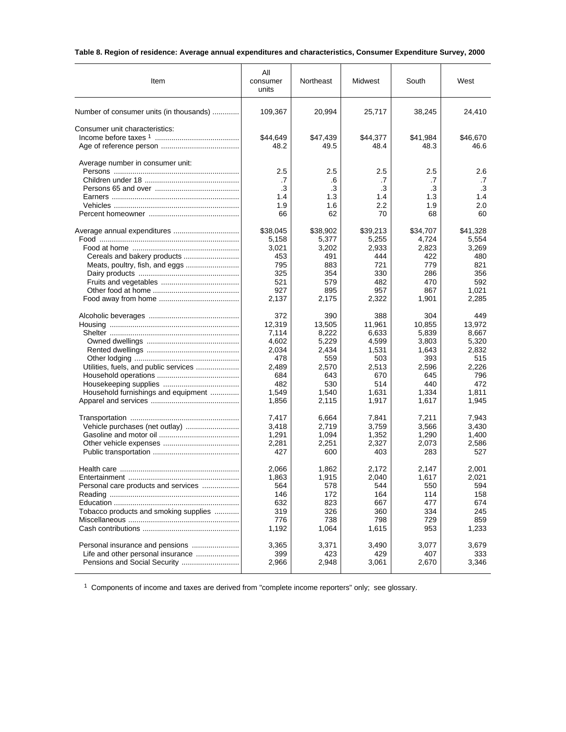# **Table 8. Region of residence: Average annual expenditures and characteristics, Consumer Expenditure Survey, 2000**

| Item                                    | All<br>consumer<br>units            | Northeast                           | Midwest                             | South                               | West                                |
|-----------------------------------------|-------------------------------------|-------------------------------------|-------------------------------------|-------------------------------------|-------------------------------------|
| Number of consumer units (in thousands) | 109,367                             | 20,994                              | 25,717                              | 38,245                              | 24,410                              |
| Consumer unit characteristics:          | \$44,649<br>48.2                    | \$47,439<br>49.5                    | \$44,377<br>48.4                    | \$41,984<br>48.3                    | \$46,670<br>46.6                    |
| Average number in consumer unit:        | 2.5<br>.7<br>.3<br>1.4<br>1.9<br>66 | 2.5<br>.6<br>.3<br>1.3<br>1.6<br>62 | 2.5<br>.7<br>.3<br>1.4<br>2.2<br>70 | 2.5<br>.7<br>.3<br>1.3<br>1.9<br>68 | 2.6<br>.7<br>.3<br>1.4<br>2.0<br>60 |
|                                         | \$38,045                            | \$38,902                            | \$39,213                            | \$34,707                            | \$41,328                            |
|                                         | 5,158                               | 5,377                               | 5,255                               | 4,724                               | 5,554                               |
|                                         | 3,021                               | 3,202                               | 2,933                               | 2,823                               | 3,269                               |
|                                         | 453                                 | 491                                 | 444                                 | 422                                 | 480                                 |
| Meats, poultry, fish, and eggs          | 795                                 | 883                                 | 721                                 | 779                                 | 821                                 |
|                                         | 325                                 | 354                                 | 330                                 | 286                                 | 356                                 |
|                                         | 521                                 | 579                                 | 482                                 | 470                                 | 592                                 |
|                                         | 927                                 | 895                                 | 957                                 | 867                                 | 1,021                               |
|                                         | 2,137                               | 2,175                               | 2,322                               | 1,901                               | 2,285                               |
|                                         | 372                                 | 390                                 | 388                                 | 304                                 | 449                                 |
|                                         | 12,319                              | 13,505                              | 11,961                              | 10,855                              | 13,972                              |
|                                         | 7,114                               | 8,222                               | 6,633                               | 5,839                               | 8,667                               |
|                                         | 4,602                               | 5,229                               | 4,599                               | 3,803                               | 5,320                               |
|                                         | 2,034                               | 2,434                               | 1,531                               | 1,643                               | 2,832                               |
|                                         | 478                                 | 559                                 | 503                                 | 393                                 | 515                                 |
| Utilities, fuels, and public services   | 2,489                               | 2,570                               | 2,513                               | 2,596                               | 2,226                               |
|                                         | 684                                 | 643                                 | 670                                 | 645                                 | 796                                 |
|                                         | 482                                 | 530                                 | 514                                 | 440                                 | 472                                 |
| Household furnishings and equipment     | 1,549                               | 1,540                               | 1,631                               | 1,334                               | 1,811                               |
|                                         | 1,856                               | 2,115                               | 1,917                               | 1,617                               | 1,945                               |
|                                         | 7,417                               | 6,664                               | 7,841                               | 7,211                               | 7,943                               |
|                                         | 3,418                               | 2,719                               | 3,759                               | 3,566                               | 3,430                               |
|                                         | 1,291                               | 1,094                               | 1,352                               | 1,290                               | 1,400                               |
|                                         | 2,281                               | 2,251                               | 2,327                               | 2,073                               | 2,586                               |
|                                         | 427                                 | 600                                 | 403                                 | 283                                 | 527                                 |
|                                         | 2,066                               | 1,862                               | 2,172                               | 2.147                               | 2,001                               |
|                                         | 1,863                               | 1,915                               | 2,040                               | 1,617                               | 2,021                               |
| Personal care products and services     | 564                                 | 578                                 | 544                                 | 550                                 | 594                                 |
|                                         | 146                                 | 172                                 | 164                                 | 114                                 | 158                                 |
|                                         | 632                                 | 823                                 | 667                                 | 477                                 | 674                                 |
| Tobacco products and smoking supplies   | 319                                 | 326                                 | 360                                 | 334                                 | 245                                 |
|                                         | 776                                 | 738                                 | 798                                 | 729                                 | 859                                 |
|                                         | 1,192                               | 1,064                               | 1,615                               | 953                                 | 1,233                               |
| Personal insurance and pensions         | 3,365                               | 3,371                               | 3,490                               | 3,077                               | 3,679                               |
| Life and other personal insurance       | 399                                 | 423                                 | 429                                 | 407                                 | 333                                 |
|                                         | 2,966                               | 2,948                               | 3,061                               | 2,670                               | 3,346                               |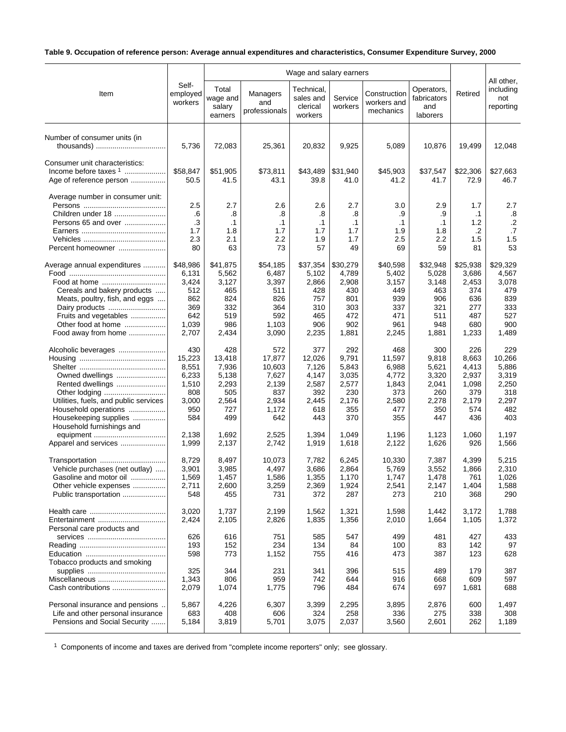# **Table 9. Occupation of reference person: Average annual expenditures and characteristics, Consumer Expenditure Survey, 2000**

|                                                                                                                                                                                                      |                                                                          | Wage and salary earners                                                |                                                                           |                                                                        |                                                                        |                                                                        |                                                                        |                                                                        |                                                                        |
|------------------------------------------------------------------------------------------------------------------------------------------------------------------------------------------------------|--------------------------------------------------------------------------|------------------------------------------------------------------------|---------------------------------------------------------------------------|------------------------------------------------------------------------|------------------------------------------------------------------------|------------------------------------------------------------------------|------------------------------------------------------------------------|------------------------------------------------------------------------|------------------------------------------------------------------------|
| Item                                                                                                                                                                                                 | Self-<br>employed<br>workers                                             | Total<br>wage and<br>salary<br>earners                                 | Managers<br>and<br>professionals                                          | Technical,<br>sales and<br>clerical<br>workers                         | Service<br>workers                                                     | Construction<br>workers and<br>mechanics                               | Operators,<br>fabricators<br>and<br>laborers                           | Retired                                                                | All other,<br>including<br>not<br>reporting                            |
| Number of consumer units (in                                                                                                                                                                         | 5,736                                                                    | 72,083                                                                 | 25,361                                                                    | 20,832                                                                 | 9,925                                                                  | 5,089                                                                  | 10,876                                                                 | 19,499                                                                 | 12,048                                                                 |
| Consumer unit characteristics:<br>Income before taxes $1$<br>Age of reference person                                                                                                                 | \$58,847<br>50.5                                                         | \$51,905<br>41.5                                                       | \$73,811<br>43.1                                                          | \$43,489<br>39.8                                                       | \$31,940<br>41.0                                                       | \$45,903<br>41.2                                                       | \$37,547<br>41.7                                                       | \$22,306<br>72.9                                                       | \$27,663<br>46.7                                                       |
| Average number in consumer unit:<br>Children under 18<br>Persons 65 and over<br>Percent homeowner                                                                                                    | 2.5<br>.6<br>.3<br>1.7<br>2.3<br>80                                      | 2.7<br>.8<br>$\cdot$ 1<br>1.8<br>2.1<br>63                             | 2.6<br>.8<br>$\cdot$ 1<br>1.7<br>2.2<br>73                                | 2.6<br>.8<br>$\cdot$ 1<br>1.7<br>1.9<br>57                             | 2.7<br>.8<br>$\cdot$ 1<br>1.7<br>1.7<br>49                             | 3.0<br>.9<br>$\cdot$ 1<br>1.9<br>2.5<br>69                             | 2.9<br>.9<br>$\cdot$ 1<br>1.8<br>2.2<br>59                             | 1.7<br>$\cdot$ 1<br>1.2<br>.2<br>1.5<br>81                             | 2.7<br>.8<br>$.2\,$<br>.7<br>1.5<br>53                                 |
| Average annual expenditures<br>Food at home<br>Cereals and bakery products<br>Meats, poultry, fish, and eggs<br>Dairy products<br>Fruits and vegetables<br>Other food at home<br>Food away from home | \$48,986<br>6,131<br>3,424<br>512<br>862<br>369<br>642<br>1,039<br>2,707 | \$41,875<br>5,562<br>3,127<br>465<br>824<br>332<br>519<br>986<br>2,434 | \$54,185<br>6,487<br>3,397<br>511<br>826<br>364<br>592<br>1,103<br>3,090  | \$37,354<br>5,102<br>2,866<br>428<br>757<br>310<br>465<br>906<br>2,235 | \$30,279<br>4,789<br>2,908<br>430<br>801<br>303<br>472<br>902<br>1,881 | \$40,598<br>5,402<br>3,157<br>449<br>939<br>337<br>471<br>961<br>2,245 | \$32,948<br>5,028<br>3,148<br>463<br>906<br>321<br>511<br>948<br>1,881 | \$25,938<br>3,686<br>2,453<br>374<br>636<br>277<br>487<br>680<br>1,233 | \$29,329<br>4,567<br>3,078<br>479<br>839<br>333<br>527<br>900<br>1,489 |
| Alcoholic beverages<br>Owned dwellings<br>Rented dwellings<br>Other lodging<br>Utilities, fuels, and public services<br>Household operations<br>Housekeeping supplies<br>Household furnishings and   | 430<br>15,223<br>8,551<br>6,233<br>1,510<br>808<br>3,000<br>950<br>584   | 428<br>13,418<br>7,936<br>5,138<br>2,293<br>505<br>2,564<br>727<br>499 | 572<br>17,877<br>10,603<br>7,627<br>2,139<br>837<br>2,934<br>1,172<br>642 | 377<br>12,026<br>7,126<br>4,147<br>2,587<br>392<br>2,445<br>618<br>443 | 292<br>9,791<br>5,843<br>3,035<br>2,577<br>230<br>2,176<br>355<br>370  | 468<br>11,597<br>6,988<br>4,772<br>1,843<br>373<br>2,580<br>477<br>355 | 300<br>9,818<br>5,621<br>3,320<br>2,041<br>260<br>2,278<br>350<br>447  | 226<br>8,663<br>4,413<br>2,937<br>1,098<br>379<br>2,179<br>574<br>436  | 229<br>10,266<br>5,886<br>3,319<br>2,250<br>318<br>2,297<br>482<br>403 |
| Apparel and services                                                                                                                                                                                 | 2,138<br>1,999                                                           | 1,692<br>2,137                                                         | 2,525<br>2,742                                                            | 1,394<br>1,919                                                         | 1,049<br>1,618                                                         | 1,196<br>2,122                                                         | 1,123<br>1,626                                                         | 1,060<br>926                                                           | 1,197<br>1,566                                                         |
| Transportation<br>Vehicle purchases (net outlay)<br>Gasoline and motor oil<br>Other vehicle expenses<br>Public transportation                                                                        | 8,729<br>3,901<br>1,569<br>2,711<br>548                                  | 8,497<br>3,985<br>1.457<br>2,600<br>455                                | 10,073<br>4,497<br>1,586<br>3,259<br>731                                  | 7,782<br>3,686<br>1,355<br>2,369<br>372                                | 6,245<br>2,864<br>1,170<br>1,924<br>287                                | 10,330<br>5,769<br>1,747<br>2,541<br>273                               | 7,387<br>3,552<br>1,478<br>2,147<br>210                                | 4,399<br>1,866<br>761<br>1,404<br>368                                  | 5,215<br>2,310<br>1,026<br>1,588<br>290                                |
| Entertainment<br>Personal care products and                                                                                                                                                          | 3,020<br>2,424                                                           | 1,737<br>2,105                                                         | 2,199<br>2,826                                                            | 1,562<br>1,835                                                         | 1,321<br>1,356                                                         | 1,598<br>2,010                                                         | 1,442<br>1,664                                                         | 3,172<br>1,105                                                         | 1,788<br>1,372                                                         |
| Tobacco products and smoking                                                                                                                                                                         | 626<br>193<br>598                                                        | 616<br>152<br>773                                                      | 751<br>234<br>1,152                                                       | 585<br>134<br>755                                                      | 547<br>84<br>416                                                       | 499<br>100<br>473                                                      | 481<br>83<br>387                                                       | 427<br>142<br>123                                                      | 433<br>97<br>628                                                       |
| Miscellaneous<br>Cash contributions                                                                                                                                                                  | 325<br>1,343<br>2,079                                                    | 344<br>806<br>1,074                                                    | 231<br>959<br>1,775                                                       | 341<br>742<br>796                                                      | 396<br>644<br>484                                                      | 515<br>916<br>674                                                      | 489<br>668<br>697                                                      | 179<br>609<br>1,681                                                    | 387<br>597<br>688                                                      |
| Personal insurance and pensions.<br>Life and other personal insurance<br>Pensions and Social Security                                                                                                | 5,867<br>683<br>5,184                                                    | 4,226<br>408<br>3,819                                                  | 6,307<br>606<br>5,701                                                     | 3,399<br>324<br>3,075                                                  | 2,295<br>258<br>2,037                                                  | 3,895<br>336<br>3,560                                                  | 2,876<br>275<br>2,601                                                  | 600<br>338<br>262                                                      | 1,497<br>308<br>1,189                                                  |